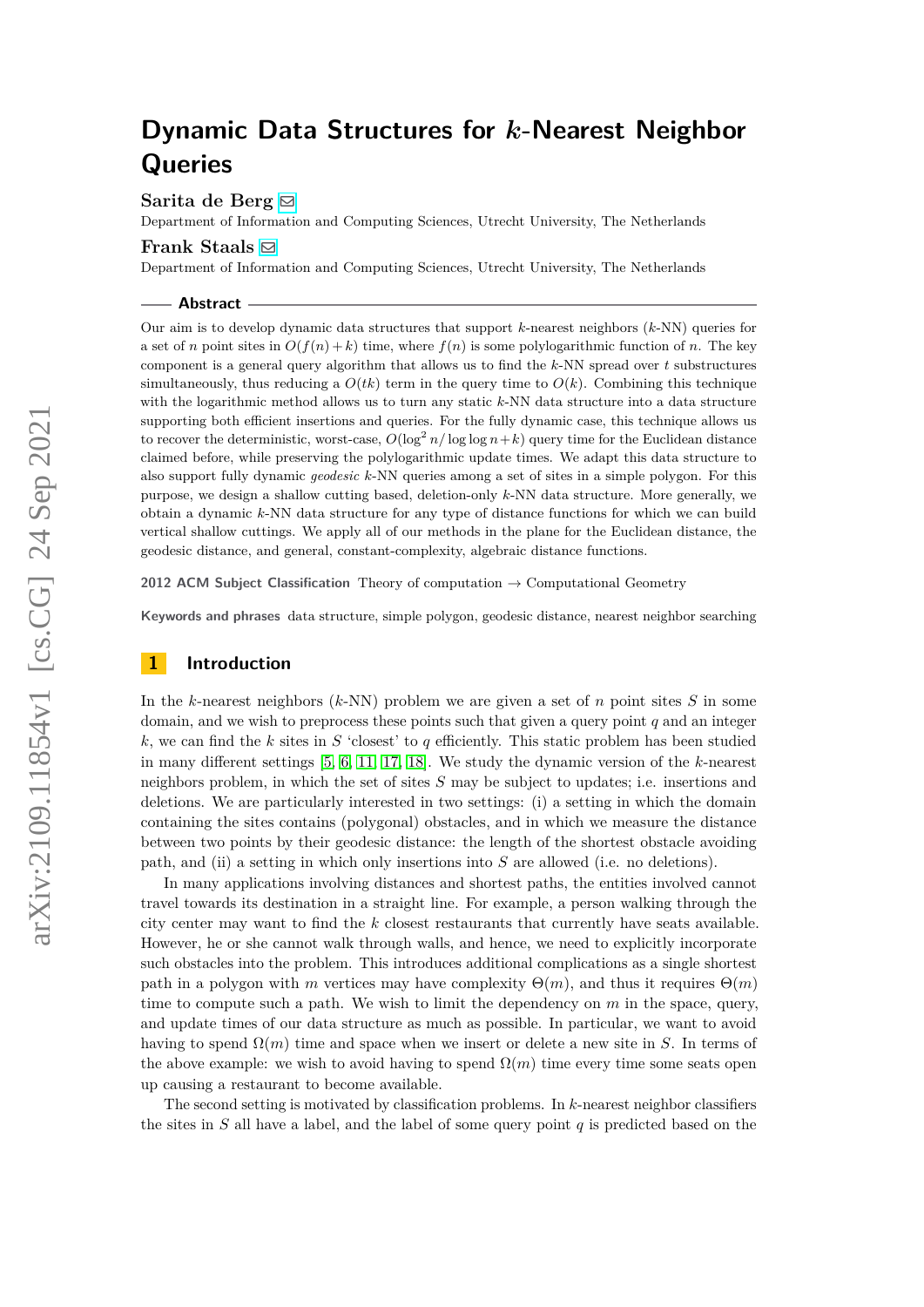**Sarita de Berg** [!](mailto:s.deberg@uu.nl)

Department of Information and Computing Sciences, Utrecht University, The Netherlands

#### **Frank Staals** [!](mailto:f.staals@uu.nl)

Department of Information and Computing Sciences, Utrecht University, The Netherlands

**Abstract**

Our aim is to develop dynamic data structures that support *k*-nearest neighbors (*k*-NN) queries for a set of *n* point sites in  $O(f(n) + k)$  time, where  $f(n)$  is some polylogarithmic function of *n*. The key component is a general query algorithm that allows us to find the *k*-NN spread over *t* substructures simultaneously, thus reducing a  $O(tk)$  term in the query time to  $O(k)$ . Combining this technique with the logarithmic method allows us to turn any static *k*-NN data structure into a data structure supporting both efficient insertions and queries. For the fully dynamic case, this technique allows us to recover the deterministic, worst-case,  $O(\log^2 n/\log \log n + k)$  query time for the Euclidean distance claimed before, while preserving the polylogarithmic update times. We adapt this data structure to also support fully dynamic *geodesic k*-NN queries among a set of sites in a simple polygon. For this purpose, we design a shallow cutting based, deletion-only *k*-NN data structure. More generally, we obtain a dynamic *k*-NN data structure for any type of distance functions for which we can build vertical shallow cuttings. We apply all of our methods in the plane for the Euclidean distance, the geodesic distance, and general, constant-complexity, algebraic distance functions.

**2012 ACM Subject Classification** Theory of computation → Computational Geometry

**Keywords and phrases** data structure, simple polygon, geodesic distance, nearest neighbor searching

## **1 Introduction**

In the *k*-nearest neighbors (*k*-NN) problem we are given a set of *n* point sites *S* in some domain, and we wish to preprocess these points such that given a query point *q* and an integer *k*, we can find the *k* sites in *S* 'closest' to *q* efficiently. This static problem has been studied in many different settings [\[5,](#page-18-0) [6,](#page-18-1) [11,](#page-18-2) [17,](#page-19-0) [18\]](#page-19-1). We study the dynamic version of the *k*-nearest neighbors problem, in which the set of sites *S* may be subject to updates; i.e. insertions and deletions. We are particularly interested in two settings: (i) a setting in which the domain containing the sites contains (polygonal) obstacles, and in which we measure the distance between two points by their geodesic distance: the length of the shortest obstacle avoiding path, and (ii) a setting in which only insertions into *S* are allowed (i.e. no deletions).

In many applications involving distances and shortest paths, the entities involved cannot travel towards its destination in a straight line. For example, a person walking through the city center may want to find the *k* closest restaurants that currently have seats available. However, he or she cannot walk through walls, and hence, we need to explicitly incorporate such obstacles into the problem. This introduces additional complications as a single shortest path in a polygon with *m* vertices may have complexity  $\Theta(m)$ , and thus it requires  $\Theta(m)$ time to compute such a path. We wish to limit the dependency on *m* in the space, query, and update times of our data structure as much as possible. In particular, we want to avoid having to spend  $\Omega(m)$  time and space when we insert or delete a new site in *S*. In terms of the above example: we wish to avoid having to spend  $\Omega(m)$  time every time some seats open up causing a restaurant to become available.

The second setting is motivated by classification problems. In *k*-nearest neighbor classifiers the sites in *S* all have a label, and the label of some query point *q* is predicted based on the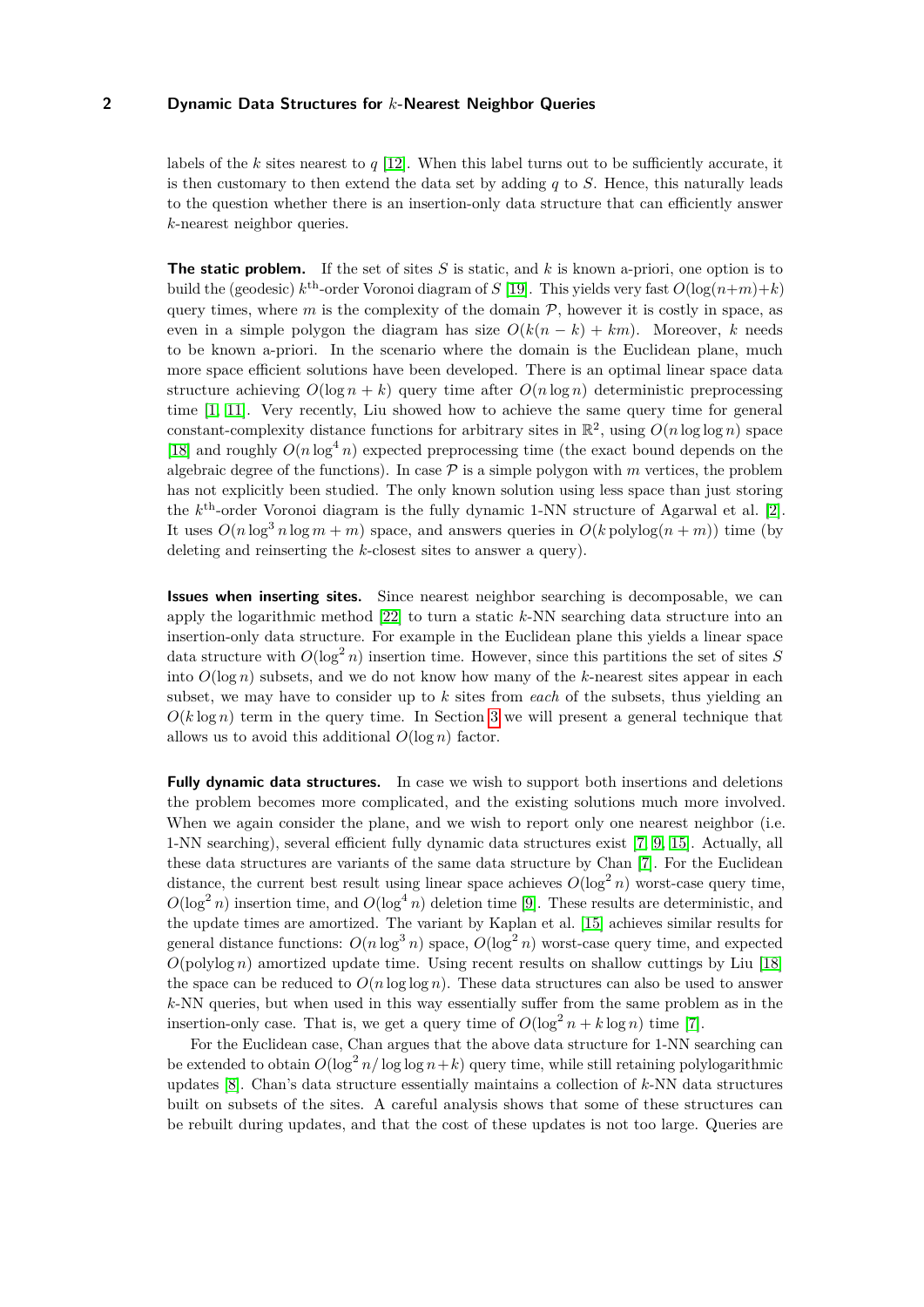labels of the *k* sites nearest to *q* [\[12\]](#page-18-3). When this label turns out to be sufficiently accurate, it is then customary to then extend the data set by adding *q* to *S*. Hence, this naturally leads to the question whether there is an insertion-only data structure that can efficiently answer *k*-nearest neighbor queries.

**The static problem.** If the set of sites *S* is static, and *k* is known a-priori, one option is to build the (geodesic)  $k^{\text{th}}$ -order Voronoi diagram of *S* [\[19\]](#page-19-2). This yields very fast  $O(\log(n+m)+k)$ query times, where  $m$  is the complexity of the domain  $P$ , however it is costly in space, as even in a simple polygon the diagram has size  $O(k(n - k) + km)$ . Moreover, *k* needs to be known a-priori. In the scenario where the domain is the Euclidean plane, much more space efficient solutions have been developed. There is an optimal linear space data structure achieving  $O(\log n + k)$  query time after  $O(n \log n)$  deterministic preprocessing time [\[1,](#page-18-4) [11\]](#page-18-2). Very recently, Liu showed how to achieve the same query time for general constant-complexity distance functions for arbitrary sites in  $\mathbb{R}^2$ , using  $O(n \log \log n)$  space [\[18\]](#page-19-1) and roughly  $O(n \log^4 n)$  expected preprocessing time (the exact bound depends on the algebraic degree of the functions). In case  $P$  is a simple polygon with  $m$  vertices, the problem has not explicitly been studied. The only known solution using less space than just storing the *k* th-order Voronoi diagram is the fully dynamic 1-NN structure of Agarwal et al. [\[2\]](#page-18-5). It uses  $O(n \log^3 n \log m + m)$  space, and answers queries in  $O(k \text{ polylog}(n + m))$  time (by deleting and reinserting the *k*-closest sites to answer a query).

**Issues when inserting sites.** Since nearest neighbor searching is decomposable, we can apply the logarithmic method [\[22\]](#page-19-3) to turn a static *k*-NN searching data structure into an insertion-only data structure. For example in the Euclidean plane this yields a linear space data structure with  $O(\log^2 n)$  insertion time. However, since this partitions the set of sites *S* into  $O(\log n)$  subsets, and we do not know how many of the *k*-nearest sites appear in each subset, we may have to consider up to *k* sites from *each* of the subsets, thus yielding an  $O(k \log n)$  term in the query time. In Section [3](#page-6-0) we will present a general technique that allows us to avoid this additional  $O(\log n)$  factor.

**Fully dynamic data structures.** In case we wish to support both insertions and deletions the problem becomes more complicated, and the existing solutions much more involved. When we again consider the plane, and we wish to report only one nearest neighbor (i.e. 1-NN searching), several efficient fully dynamic data structures exist [\[7,](#page-18-6) [9,](#page-18-7) [15\]](#page-19-4). Actually, all these data structures are variants of the same data structure by Chan [\[7\]](#page-18-6). For the Euclidean distance, the current best result using linear space achieves  $O(\log^2 n)$  worst-case query time,  $O(\log^2 n)$  insertion time, and  $O(\log^4 n)$  deletion time [\[9\]](#page-18-7). These results are deterministic, and the update times are amortized. The variant by Kaplan et al. [\[15\]](#page-19-4) achieves similar results for general distance functions:  $O(n \log^3 n)$  space,  $O(\log^2 n)$  worst-case query time, and expected  $O(polylog n)$  amortized update time. Using recent results on shallow cuttings by Liu [\[18\]](#page-19-1) the space can be reduced to  $O(n \log \log n)$ . These data structures can also be used to answer *k*-NN queries, but when used in this way essentially suffer from the same problem as in the insertion-only case. That is, we get a query time of  $O(\log^2 n + k \log n)$  time [\[7\]](#page-18-6).

For the Euclidean case, Chan argues that the above data structure for 1-NN searching can be extended to obtain  $O(\log^2 n / \log \log n + k)$  query time, while still retaining polylogarithmic updates [\[8\]](#page-18-8). Chan's data structure essentially maintains a collection of *k*-NN data structures built on subsets of the sites. A careful analysis shows that some of these structures can be rebuilt during updates, and that the cost of these updates is not too large. Queries are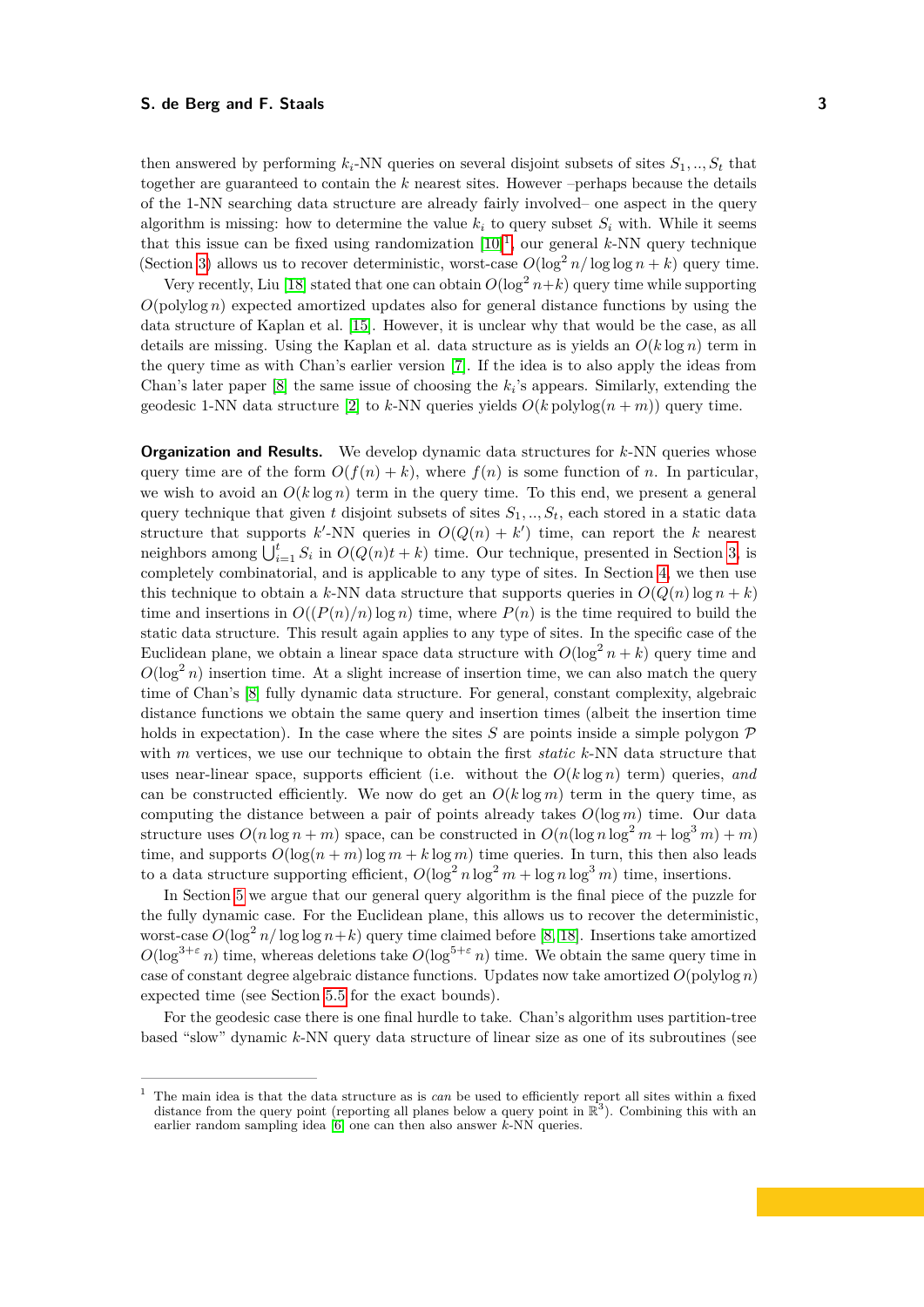then answered by performing  $k_i$ -NN queries on several disjoint subsets of sites  $S_1, ..., S_t$  that together are guaranteed to contain the *k* nearest sites. However –perhaps because the details of the 1-NN searching data structure are already fairly involved– one aspect in the query algorithm is missing: how to determine the value  $k_i$  to query subset  $S_i$  with. While it seems that this issue can be fixed using randomization [\[10\]](#page-18-9) [1](#page-2-0) , our general *k*-NN query technique (Section [3\)](#page-6-0) allows us to recover deterministic, worst-case  $O(\log^2 n / \log \log n + k)$  query time.

Very recently, Liu [\[18\]](#page-19-1) stated that one can obtain  $O(\log^2 n + k)$  query time while supporting  $O(polylog n)$  expected amortized updates also for general distance functions by using the data structure of Kaplan et al. [\[15\]](#page-19-4). However, it is unclear why that would be the case, as all details are missing. Using the Kaplan et al. data structure as is yields an  $O(k \log n)$  term in the query time as with Chan's earlier version [\[7\]](#page-18-6). If the idea is to also apply the ideas from Chan's later paper  $[8]$  the same issue of choosing the  $k_i$ 's appears. Similarly, extending the geodesic 1-NN data structure [\[2\]](#page-18-5) to *k*-NN queries yields  $O(k \text{ polylog}(n + m))$  query time.

**Organization and Results.** We develop dynamic data structures for *k*-NN queries whose query time are of the form  $O(f(n) + k)$ , where  $f(n)$  is some function of *n*. In particular, we wish to avoid an  $O(k \log n)$  term in the query time. To this end, we present a general query technique that given *t* disjoint subsets of sites  $S_1, ..., S_t$ , each stored in a static data structure that supports  $k'$ -NN queries in  $O(Q(n) + k')$  time, can report the *k* nearest neighbors among  $\bigcup_{i=1}^{t} S_i$  in  $O(Q(n)t + k)$  time. Our technique, presented in Section [3,](#page-6-0) is completely combinatorial, and is applicable to any type of sites. In Section [4,](#page-8-0) we then use this technique to obtain a *k*-NN data structure that supports queries in  $O(Q(n) \log n + k)$ time and insertions in  $O((P(n)/n)\log n)$  time, where  $P(n)$  is the time required to build the static data structure. This result again applies to any type of sites. In the specific case of the Euclidean plane, we obtain a linear space data structure with  $O(\log^2 n + k)$  query time and  $O(\log^2 n)$  insertion time. At a slight increase of insertion time, we can also match the query time of Chan's [\[8\]](#page-18-8) fully dynamic data structure. For general, constant complexity, algebraic distance functions we obtain the same query and insertion times (albeit the insertion time holds in expectation). In the case where the sites  $S$  are points inside a simple polygon  $\mathcal P$ with *m* vertices, we use our technique to obtain the first *static k*-NN data structure that uses near-linear space, supports efficient (i.e. without the  $O(k \log n)$  term) queries, and can be constructed efficiently. We now do get an  $O(k \log m)$  term in the query time, as computing the distance between a pair of points already takes  $O(\log m)$  time. Our data structure uses  $O(n \log n + m)$  space, can be constructed in  $O(n(\log n \log^2 m + \log^3 m) + m)$ time, and supports  $O(\log(n+m)\log m + k\log m)$  time queries. In turn, this then also leads to a data structure supporting efficient,  $O(\log^2 n \log^2 m + \log n \log^3 m)$  time, insertions.

In Section [5](#page-11-0) we argue that our general query algorithm is the final piece of the puzzle for the fully dynamic case. For the Euclidean plane, this allows us to recover the deterministic, worst-case  $O(\log^2 n/\log \log n + k)$  query time claimed before [\[8,](#page-18-8) [18\]](#page-19-1). Insertions take amortized  $O(\log^{3+\varepsilon} n)$  time, whereas deletions take  $O(\log^{5+\varepsilon} n)$  time. We obtain the same query time in case of constant degree algebraic distance functions. Updates now take amortized  $O(polylog n)$ expected time (see Section [5.5](#page-17-0) for the exact bounds).

For the geodesic case there is one final hurdle to take. Chan's algorithm uses partition-tree based "slow" dynamic *k*-NN query data structure of linear size as one of its subroutines (see

<span id="page-2-0"></span><sup>1</sup> The main idea is that the data structure as is *can* be used to efficiently report all sites within a fixed distance from the query point (reporting all planes below a query point in  $\mathbb{R}^3$ ). Combining this with an earlier random sampling idea [\[6\]](#page-18-1) one can then also answer *k*-NN queries.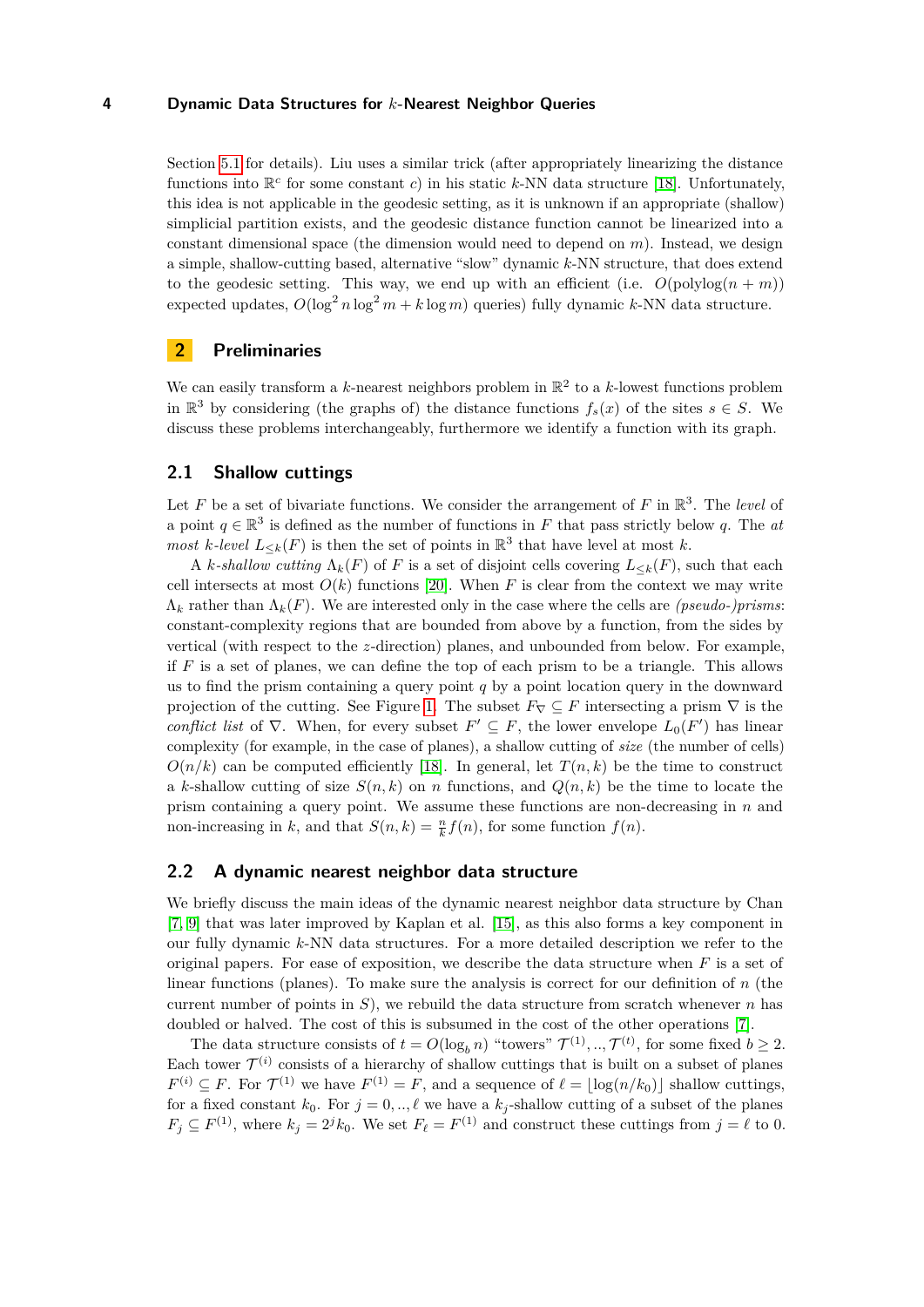Section [5.1](#page-11-1) for details). Liu uses a similar trick (after appropriately linearizing the distance functions into  $\mathbb{R}^c$  for some constant *c*) in his static *k*-NN data structure [\[18\]](#page-19-1). Unfortunately, this idea is not applicable in the geodesic setting, as it is unknown if an appropriate (shallow) simplicial partition exists, and the geodesic distance function cannot be linearized into a constant dimensional space (the dimension would need to depend on *m*). Instead, we design a simple, shallow-cutting based, alternative "slow" dynamic *k*-NN structure, that does extend to the geodesic setting. This way, we end up with an efficient (i.e.  $O(\text{polylog}(n + m))$ ) expected updates,  $O(\log^2 n \log^2 m + k \log m)$  queries) fully dynamic *k*-NN data structure.

# **2 Preliminaries**

We can easily transform a  $k$ -nearest neighbors problem in  $\mathbb{R}^2$  to a  $k$ -lowest functions problem in  $\mathbb{R}^3$  by considering (the graphs of) the distance functions  $f_s(x)$  of the sites  $s \in S$ . We discuss these problems interchangeably, furthermore we identify a function with its graph.

## **2.1 Shallow cuttings**

Let  $F$  be a set of bivariate functions. We consider the arrangement of  $F$  in  $\mathbb{R}^3$ . The *level* of a point  $q \in \mathbb{R}^3$  is defined as the number of functions in *F* that pass strictly below *q*. The *at most k*-*level*  $L_{\leq k}(F)$  is then the set of points in  $\mathbb{R}^3$  that have level at most *k*.

A *k*-shallow cutting  $\Lambda_k(F)$  of F is a set of disjoint cells covering  $L_{\leq k}(F)$ , such that each cell intersects at most  $O(k)$  functions [\[20\]](#page-19-5). When *F* is clear from the context we may write Λ*<sup>k</sup>* rather than Λ*k*(*F*). We are interested only in the case where the cells are *(pseudo-)prisms*: constant-complexity regions that are bounded from above by a function, from the sides by vertical (with respect to the *z*-direction) planes, and unbounded from below. For example, if *F* is a set of planes, we can define the top of each prism to be a triangle. This allows us to find the prism containing a query point *q* by a point location query in the downward projection of the cutting. See Figure [1.](#page-4-0) The subset  $F_\nabla \subseteq F$  intersecting a prism  $\nabla$  is the *conflict list* of  $\nabla$ . When, for every subset  $F' \subseteq F$ , the lower envelope  $L_0(F')$  has linear complexity (for example, in the case of planes), a shallow cutting of *size* (the number of cells)  $O(n/k)$  can be computed efficiently [\[18\]](#page-19-1). In general, let  $T(n,k)$  be the time to construct a *k*-shallow cutting of size  $S(n, k)$  on *n* functions, and  $Q(n, k)$  be the time to locate the prism containing a query point. We assume these functions are non-decreasing in *n* and non-increasing in *k*, and that  $S(n, k) = \frac{n}{k} f(n)$ , for some function  $f(n)$ .

## <span id="page-3-0"></span>**2.2 A dynamic nearest neighbor data structure**

We briefly discuss the main ideas of the dynamic nearest neighbor data structure by Chan [\[7,](#page-18-6) [9\]](#page-18-7) that was later improved by Kaplan et al. [\[15\]](#page-19-4), as this also forms a key component in our fully dynamic *k*-NN data structures. For a more detailed description we refer to the original papers. For ease of exposition, we describe the data structure when  $F$  is a set of linear functions (planes). To make sure the analysis is correct for our definition of *n* (the current number of points in  $S$ ), we rebuild the data structure from scratch whenever  $n$  has doubled or halved. The cost of this is subsumed in the cost of the other operations [\[7\]](#page-18-6).

The data structure consists of  $t = O(\log_b n)$  "towers"  $\mathcal{T}^{(1)}, \dots, \mathcal{T}^{(t)}$ , for some fixed  $b \geq 2$ . Each tower  $\mathcal{T}^{(i)}$  consists of a hierarchy of shallow cuttings that is built on a subset of planes  $F^{(i)} \subseteq F$ . For  $\mathcal{T}^{(1)}$  we have  $F^{(1)} = F$ , and a sequence of  $\ell = \lfloor \log(n/k_0) \rfloor$  shallow cuttings, for a fixed constant  $k_0$ . For  $j = 0, \ldots, \ell$  we have a  $k_j$ -shallow cutting of a subset of the planes  $F_j \subseteq F^{(1)}$ , where  $k_j = 2^j k_0$ . We set  $F_\ell = F^{(1)}$  and construct these cuttings from  $j = \ell$  to 0.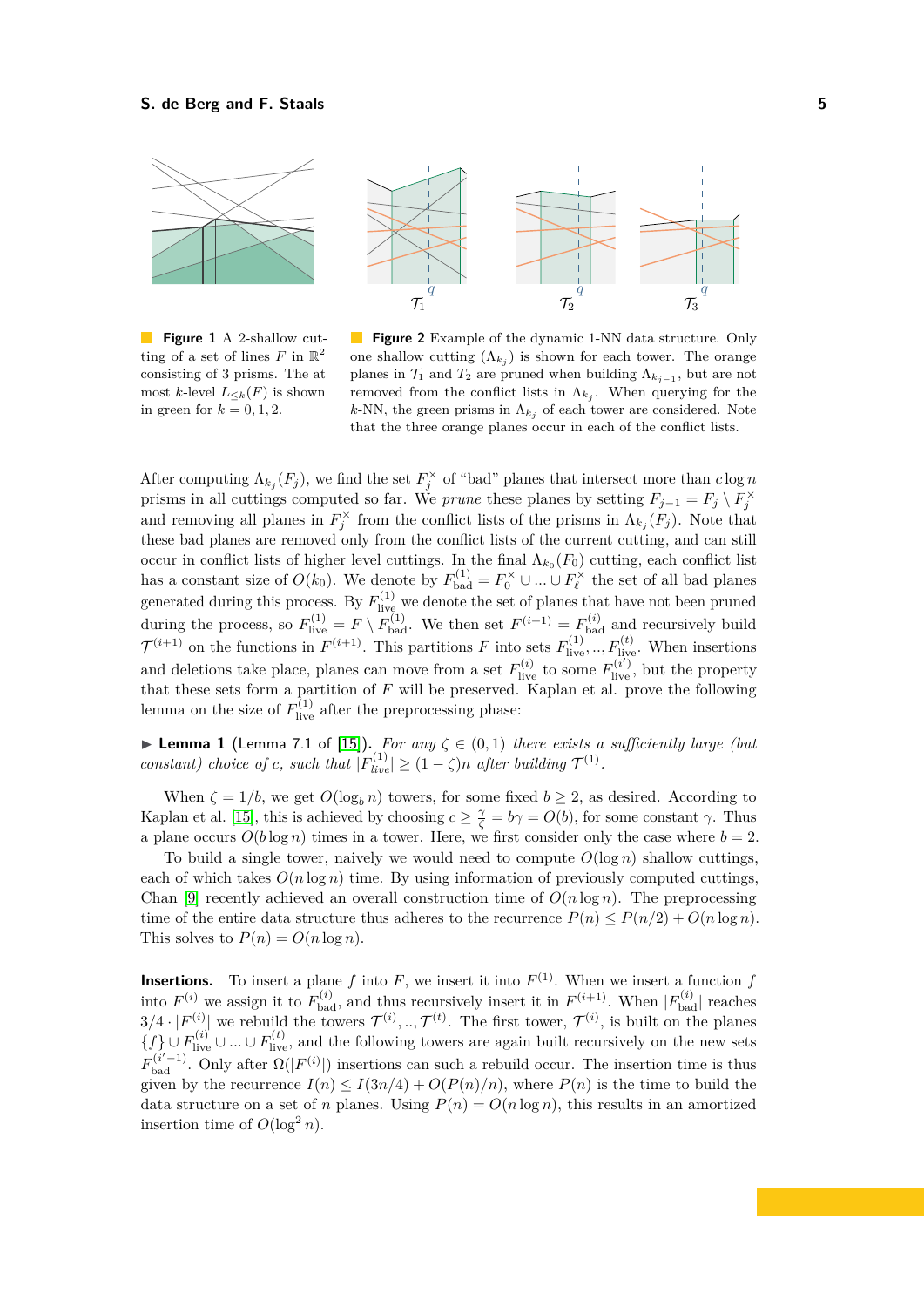<span id="page-4-0"></span>

**Figure 1** A 2-shallow cutting of a set of lines  $F$  in  $\mathbb{R}^2$ consisting of 3 prisms. The at most *k*-level  $L_{\leq k}(F)$  is shown in green for  $k = 0, 1, 2$ .



After computing  $\Lambda_{k_j}(F_j)$ , we find the set  $F_j^{\times}$  of "bad" planes that intersect more than  $c \log n$ prisms in all cuttings computed so far. We *prune* these planes by setting  $F_{j-1} = F_j \setminus F_j^{\times}$ and removing all planes in  $F_j^{\times}$  from the conflict lists of the prisms in  $\Lambda_{k_j}(F_j)$ . Note that these bad planes are removed only from the conflict lists of the current cutting, and can still occur in conflict lists of higher level cuttings. In the final  $\Lambda_{k_0}(F_0)$  cutting, each conflict list has a constant size of  $O(k_0)$ . We denote by  $F_{bad}^{(1)} = F_0^{\times} \cup ... \cup F_{\ell}^{\times}$  the set of all bad planes generated during this process. By  $F_{\text{live}}^{(1)}$  we denote the set of planes that have not been pruned during the process, so  $F_{\text{live}}^{(1)} = F \setminus F_{\text{bad}}^{(1)}$ . We then set  $F^{(i+1)} = F_{\text{bad}}^{(i)}$  and recursively build  $\mathcal{T}^{(i+1)}$  on the functions in  $F^{(i+1)}$ . This partitions *F* into sets  $F_{\text{live}}^{(1)}$ , ..,  $F_{\text{live}}^{(t)}$ . When insertions and deletions take place, planes can move from a set  $F_{\text{live}}^{(i)}$  to some  $F_{\text{live}}^{(i')}$ , but the property that these sets form a partition of *F* will be preserved. Kaplan et al. prove the following lemma on the size of  $F_{\text{live}}^{(1)}$  after the preprocessing phase:

▶ **Lemma 1** (Lemma 7.1 of [\[15\]](#page-19-4)). For any  $\zeta \in (0,1)$  there exists a sufficiently large (but *constant)* choice of *c*, such that  $|F_{live}^{(1)}| \geq (1 - \zeta)n$  after building  $\mathcal{T}^{(1)}$ .

When  $\zeta = 1/b$ , we get  $O(\log_b n)$  towers, for some fixed  $b \geq 2$ , as desired. According to Kaplan et al. [\[15\]](#page-19-4), this is achieved by choosing  $c \geq \frac{\gamma}{\zeta} = b\gamma = O(b)$ , for some constant  $\gamma$ . Thus a plane occurs  $O(b \log n)$  times in a tower. Here, we first consider only the case where  $b = 2$ .

To build a single tower, naively we would need to compute  $O(\log n)$  shallow cuttings, each of which takes  $O(n \log n)$  time. By using information of previously computed cuttings, Chan [\[9\]](#page-18-7) recently achieved an overall construction time of  $O(n \log n)$ . The preprocessing time of the entire data structure thus adheres to the recurrence  $P(n) \leq P(n/2) + O(n \log n)$ . This solves to  $P(n) = O(n \log n)$ .

**Insertions.** To insert a plane f into F, we insert it into  $F^{(1)}$ . When we insert a function f into  $F^{(i)}$  we assign it to  $F_{bad}^{(i)}$ , and thus recursively insert it in  $F^{(i+1)}$ . When  $|F_{bad}^{(i)}|$  reaches  $3/4 \cdot |F^{(i)}|$  we rebuild the towers  $\mathcal{T}^{(i)},...,\mathcal{T}^{(t)}$ . The first tower,  $\mathcal{T}^{(i)}$ , is built on the planes  ${f}$  ∪  $F_{\text{live}}^{(i)}$  ∪ ... ∪  $F_{\text{live}}^{(t)}$ , and the following towers are again built recursively on the new sets  $F_{bad}^{(i'-1)}$ . Only after  $\Omega(|F^{(i)}|)$  insertions can such a rebuild occur. The insertion time is thus given by the recurrence  $I(n) \leq I(3n/4) + O(P(n)/n)$ , where  $P(n)$  is the time to build the data structure on a set of *n* planes. Using  $P(n) = O(n \log n)$ , this results in an amortized insertion time of  $O(\log^2 n)$ .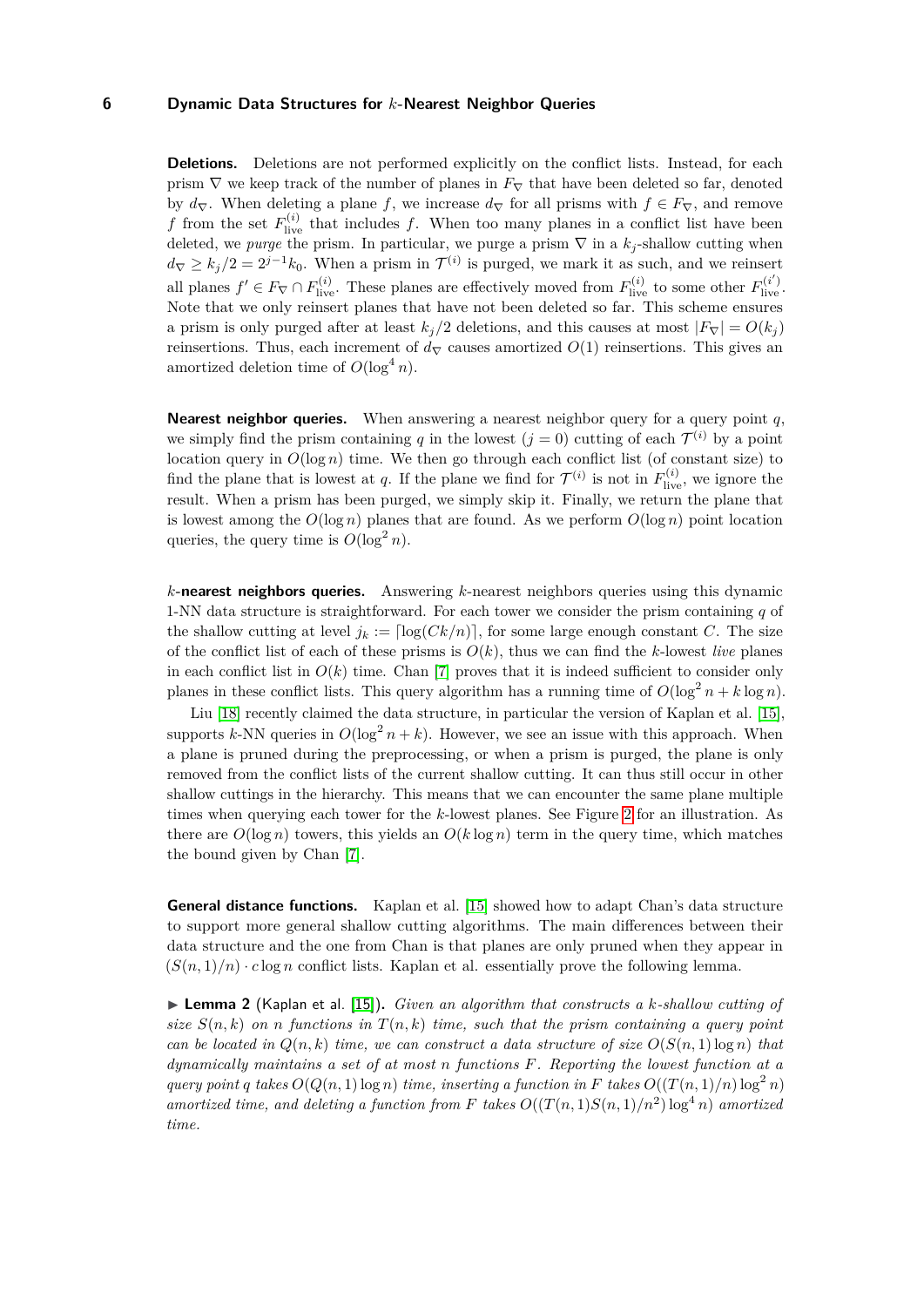**Deletions.** Deletions are not performed explicitly on the conflict lists. Instead, for each prism  $\nabla$  we keep track of the number of planes in  $F_{\nabla}$  that have been deleted so far, denoted by  $d_{\nabla}$ . When deleting a plane *f*, we increase  $d_{\nabla}$  for all prisms with  $f \in F_{\nabla}$ , and remove *f* from the set  $F_{\text{live}}^{(i)}$  that includes *f*. When too many planes in a conflict list have been deleted, we *purge* the prism. In particular, we purge a prism  $\nabla$  in a  $k_j$ -shallow cutting when  $d_{\nabla} \geq k_j/2 = 2^{j-1}k_0$ . When a prism in  $\mathcal{T}^{(i)}$  is purged, we mark it as such, and we reinsert all planes  $f' \in F_{\nabla} \cap F_{\text{live}}^{(i)}$ . These planes are effectively moved from  $F_{\text{live}}^{(i)}$  to some other  $F_{\text{live}}^{(i')}$ . Note that we only reinsert planes that have not been deleted so far. This scheme ensures a prism is only purged after at least  $k_j/2$  deletions, and this causes at most  $|F_{\nabla}| = O(k_j)$ reinsertions. Thus, each increment of  $d<sub>∇</sub>$  causes amortized  $O(1)$  reinsertions. This gives an amortized deletion time of  $O(\log^4 n)$ .

**Nearest neighbor queries.** When answering a nearest neighbor query for a query point *q*, we simply find the prism containing q in the lowest  $(j = 0)$  cutting of each  $\mathcal{T}^{(i)}$  by a point location query in  $O(\log n)$  time. We then go through each conflict list (of constant size) to find the plane that is lowest at *q*. If the plane we find for  $\mathcal{T}^{(i)}$  is not in  $F_{\text{live}}^{(i)}$ , we ignore the result. When a prism has been purged, we simply skip it. Finally, we return the plane that is lowest among the  $O(\log n)$  planes that are found. As we perform  $O(\log n)$  point location queries, the query time is  $O(\log^2 n)$ .

*k***-nearest neighbors queries.** Answering *k*-nearest neighbors queries using this dynamic 1-NN data structure is straightforward. For each tower we consider the prism containing *q* of the shallow cutting at level  $j_k := \lceil \log(Ck/n) \rceil$ , for some large enough constant *C*. The size of the conflict list of each of these prisms is  $O(k)$ , thus we can find the *k*-lowest *live* planes in each conflict list in  $O(k)$  time. Chan [\[7\]](#page-18-6) proves that it is indeed sufficient to consider only planes in these conflict lists. This query algorithm has a running time of  $O(\log^2 n + k \log n)$ .

Liu [\[18\]](#page-19-1) recently claimed the data structure, in particular the version of Kaplan et al. [\[15\]](#page-19-4), supports *k*-NN queries in  $O(\log^2 n + k)$ . However, we see an issue with this approach. When a plane is pruned during the preprocessing, or when a prism is purged, the plane is only removed from the conflict lists of the current shallow cutting. It can thus still occur in other shallow cuttings in the hierarchy. This means that we can encounter the same plane multiple times when querying each tower for the *k*-lowest planes. See Figure [2](#page-4-0) for an illustration. As there are  $O(\log n)$  towers, this yields an  $O(k \log n)$  term in the query time, which matches the bound given by Chan [\[7\]](#page-18-6).

**General distance functions.** Kaplan et al. [\[15\]](#page-19-4) showed how to adapt Chan's data structure to support more general shallow cutting algorithms. The main differences between their data structure and the one from Chan is that planes are only pruned when they appear in  $(S(n,1)/n) \cdot c \log n$  conflict lists. Kaplan et al. essentially prove the following lemma.

<span id="page-5-0"></span>▶ **Lemma 2** (Kaplan et al. [\[15\]](#page-19-4)). *Given an algorithm that constructs a k-shallow cutting of size*  $S(n, k)$  *on n* functions in  $T(n, k)$  *time, such that the prism containing a query point can be located in*  $Q(n, k)$  *time, we can construct a data structure of size*  $O(S(n, 1) \log n)$  *that dynamically maintains a set of at most n functions F. Reporting the lowest function at a query point q takes*  $O(Q(n, 1) \log n)$  *time, inserting a function in F takes*  $O((T(n, 1)/n) \log^2 n)$ *amortized time, and deleting a function from F takes*  $O((T(n, 1)S(n, 1)/n^2) \log^4 n)$  *amortized time.*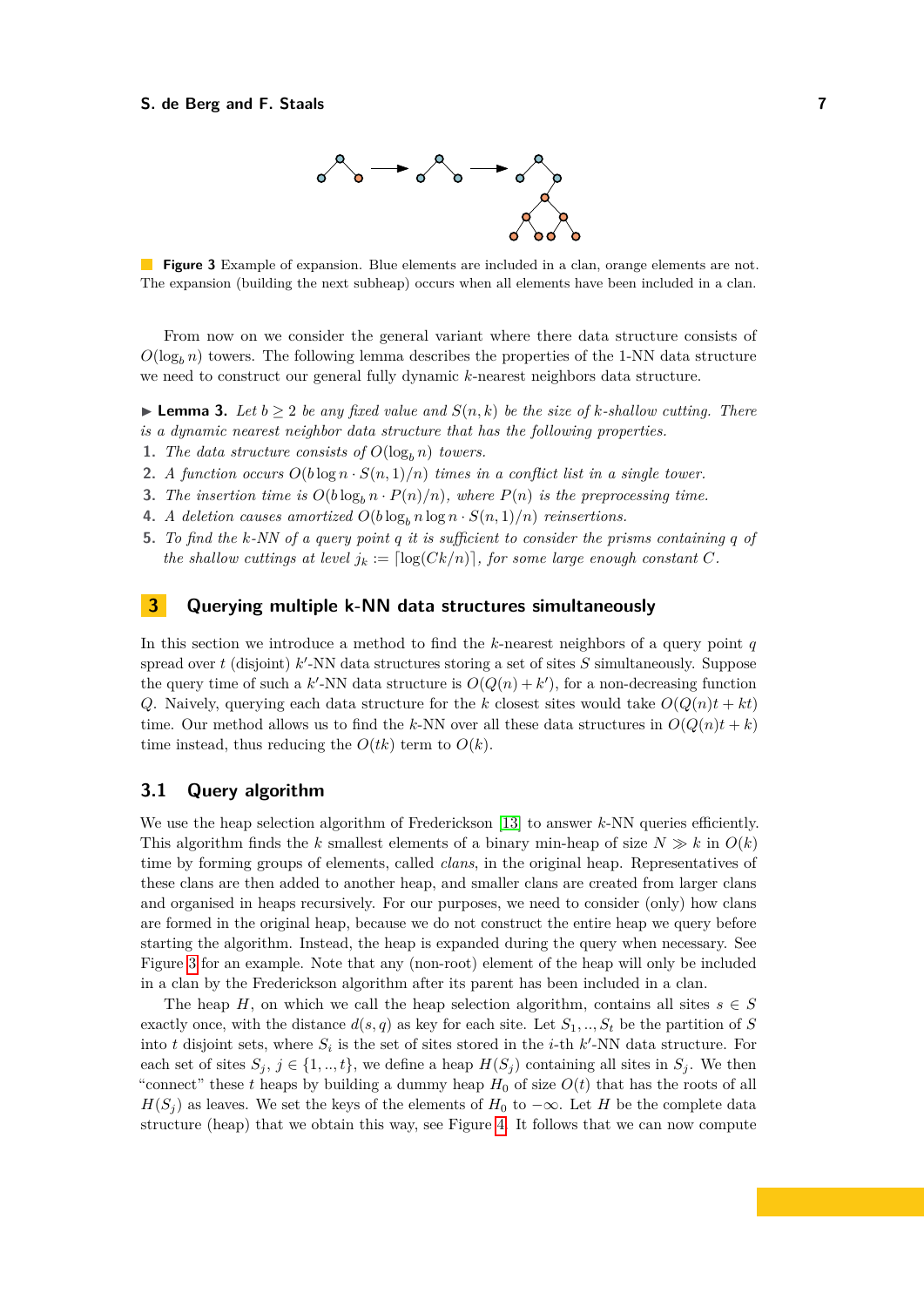

<span id="page-6-1"></span>**Figure 3** Example of expansion. Blue elements are included in a clan, orange elements are not. The expansion (building the next subheap) occurs when all elements have been included in a clan.

From now on we consider the general variant where there data structure consists of  $O(\log_b n)$  towers. The following lemma describes the properties of the 1-NN data structure we need to construct our general fully dynamic *k*-nearest neighbors data structure.

<span id="page-6-2"></span>▶ **Lemma 3.** *Let*  $b \ge 2$  *be any fixed value and*  $S(n, k)$  *be the size of k-shallow cutting. There is a dynamic nearest neighbor data structure that has the following properties.*

- **1.** *The data structure consists of*  $O(\log_b n)$  *towers.*
- **2.** *A function occurs*  $O(b \log n \cdot S(n, 1)/n)$  *times in a conflict list in a single tower.*
- **3.** The insertion time is  $O(b \log_b n \cdot P(n)/n)$ , where  $P(n)$  is the preprocessing time.
- **4.** *A deletion causes amortized*  $O(b \log_b n \log n \cdot S(n, 1)/n)$  reinsertions.
- **5.** *To find the k-NN of a query point q it is sufficient to consider the prisms containing q of the shallow cuttings at level*  $j_k := \lfloor \log(Ck/n) \rfloor$ , for some large enough constant C.

# <span id="page-6-0"></span>**3 Querying multiple k-NN data structures simultaneously**

In this section we introduce a method to find the *k*-nearest neighbors of a query point *q* spread over  $t$  (disjoint)  $k'$ -NN data structures storing a set of sites  $S$  simultaneously. Suppose the query time of such a  $k'$ -NN data structure is  $O(Q(n) + k')$ , for a non-decreasing function *Q*. Naively, querying each data structure for the *k* closest sites would take  $O(Q(n)t + kt)$ time. Our method allows us to find the *k*-NN over all these data structures in  $O(Q(n)t + k)$ time instead, thus reducing the  $O(tk)$  term to  $O(k)$ .

## **3.1 Query algorithm**

We use the heap selection algorithm of Frederickson [\[13\]](#page-18-10) to answer *k*-NN queries efficiently. This algorithm finds the *k* smallest elements of a binary min-heap of size  $N \gg k$  in  $O(k)$ time by forming groups of elements, called *clans*, in the original heap. Representatives of these clans are then added to another heap, and smaller clans are created from larger clans and organised in heaps recursively. For our purposes, we need to consider (only) how clans are formed in the original heap, because we do not construct the entire heap we query before starting the algorithm. Instead, the heap is expanded during the query when necessary. See Figure [3](#page-6-1) for an example. Note that any (non-root) element of the heap will only be included in a clan by the Frederickson algorithm after its parent has been included in a clan.

The heap *H*, on which we call the heap selection algorithm, contains all sites  $s \in S$ exactly once, with the distance  $d(s, q)$  as key for each site. Let  $S_1, ..., S_t$  be the partition of *S* into *t* disjoint sets, where  $S_i$  is the set of sites stored in the *i*-th  $k'$ -NN data structure. For each set of sites  $S_j$ ,  $j \in \{1, ..., t\}$ , we define a heap  $H(S_j)$  containing all sites in  $S_j$ . We then "connect" these *t* heaps by building a dummy heap  $H_0$  of size  $O(t)$  that has the roots of all  $H(S_i)$  as leaves. We set the keys of the elements of  $H_0$  to  $-\infty$ . Let *H* be the complete data structure (heap) that we obtain this way, see Figure [4.](#page-7-0) It follows that we can now compute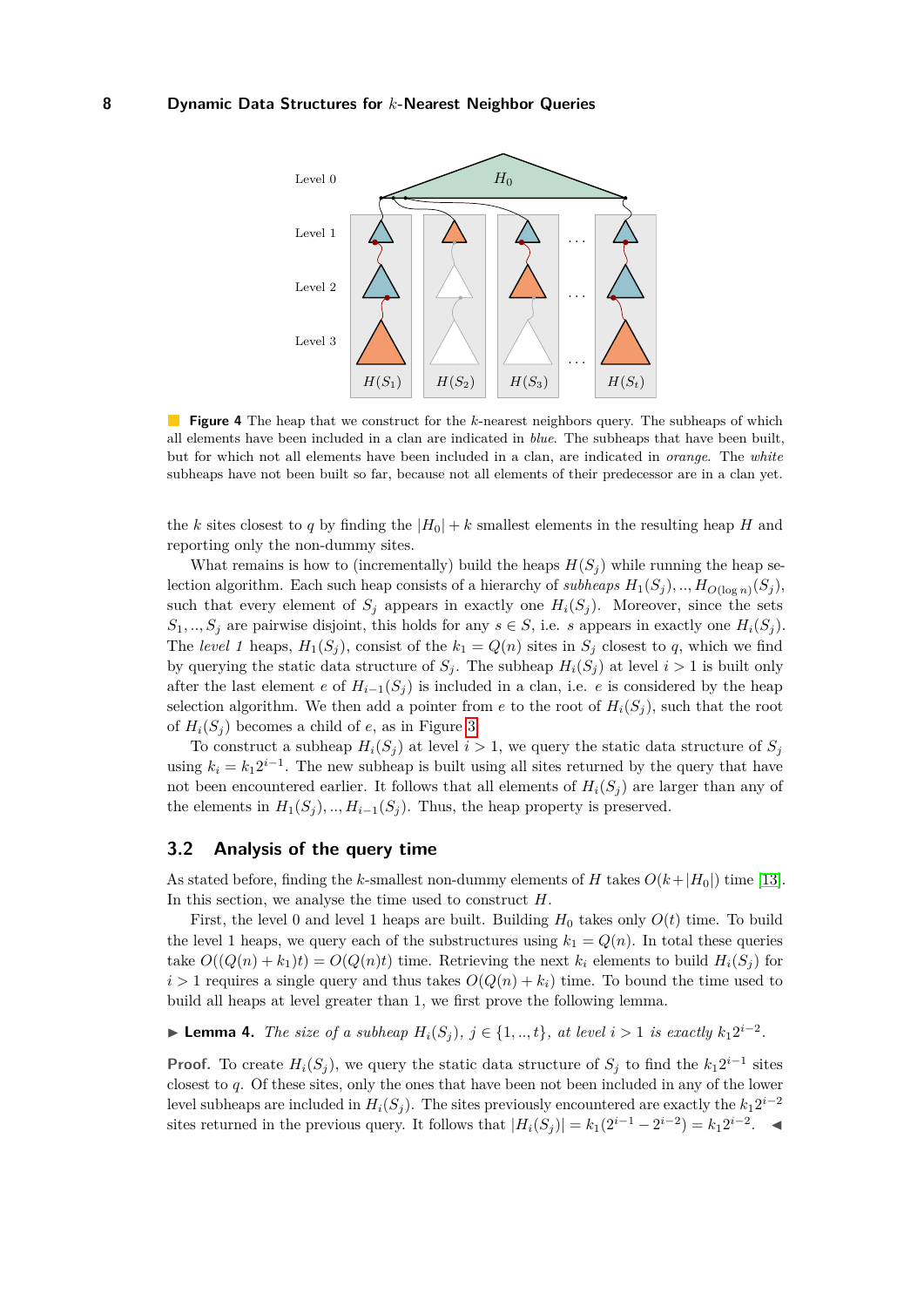<span id="page-7-0"></span>

**Figure 4** The heap that we construct for the *k*-nearest neighbors query. The subheaps of which all elements have been included in a clan are indicated in *blue*. The subheaps that have been built, but for which not all elements have been included in a clan, are indicated in *orange*. The *white* subheaps have not been built so far, because not all elements of their predecessor are in a clan yet.

the *k* sites closest to *q* by finding the  $|H_0| + k$  smallest elements in the resulting heap *H* and reporting only the non-dummy sites.

What remains is how to (incrementally) build the heaps  $H(S_i)$  while running the heap selection algorithm. Each such heap consists of a hierarchy of *subheaps*  $H_1(S_j)$ , ..,  $H_0(\log n)(S_j)$ , such that every element of  $S_j$  appears in exactly one  $H_i(S_j)$ . Moreover, since the sets  $S_1, \ldots, S_j$  are pairwise disjoint, this holds for any  $s \in S$ , i.e. *s* appears in exactly one  $H_i(S_j)$ . The *level 1* heaps,  $H_1(S_j)$ , consist of the  $k_1 = Q(n)$  sites in  $S_j$  closest to q, which we find by querying the static data structure of  $S_j$ . The subheap  $H_i(S_j)$  at level  $i > 1$  is built only after the last element *e* of  $H_{i-1}(S_j)$  is included in a clan, i.e. *e* is considered by the heap selection algorithm. We then add a pointer from *e* to the root of  $H_i(S_i)$ , such that the root of  $H_i(S_i)$  becomes a child of *e*, as in Figure [3.](#page-6-1)

To construct a subheap  $H_i(S_j)$  at level  $i > 1$ , we query the static data structure of  $S_j$ using  $k_i = k_1 2^{i-1}$ . The new subheap is built using all sites returned by the query that have not been encountered earlier. It follows that all elements of  $H_i(S_j)$  are larger than any of the elements in  $H_1(S_i)$ , ..,  $H_{i-1}(S_i)$ . Thus, the heap property is preserved.

## **3.2 Analysis of the query time**

As stated before, finding the *k*-smallest non-dummy elements of *H* takes  $O(k+|H_0|)$  time [\[13\]](#page-18-10). In this section, we analyse the time used to construct *H*.

First, the level 0 and level 1 heaps are built. Building  $H_0$  takes only  $O(t)$  time. To build the level 1 heaps, we query each of the substructures using  $k_1 = Q(n)$ . In total these queries take  $O((Q(n) + k_1)t) = O(Q(n)t)$  time. Retrieving the next  $k_i$  elements to build  $H_i(S_i)$  for  $i > 1$  requires a single query and thus takes  $O(Q(n) + k_i)$  time. To bound the time used to build all heaps at level greater than 1, we first prove the following lemma.

<span id="page-7-1"></span>▶ **Lemma 4.** *The size of a subheap*  $H_i(S_j)$ ,  $j \in \{1, ..., t\}$ , at level  $i > 1$  *is exactly*  $k_1 2^{i-2}$ .

**Proof.** To create  $H_i(S_j)$ , we query the static data structure of  $S_j$  to find the  $k_1 2^{i-1}$  sites closest to *q*. Of these sites, only the ones that have been not been included in any of the lower level subheaps are included in  $H_i(S_j)$ . The sites previously encountered are exactly the  $k_1 2^{i-2}$ sites returned in the previous query. It follows that  $|H_i(S_j)| = k_1(2^{i-1} - 2^{i-2}) = k_1 2^{i-2}$ .  $\blacktriangleleft$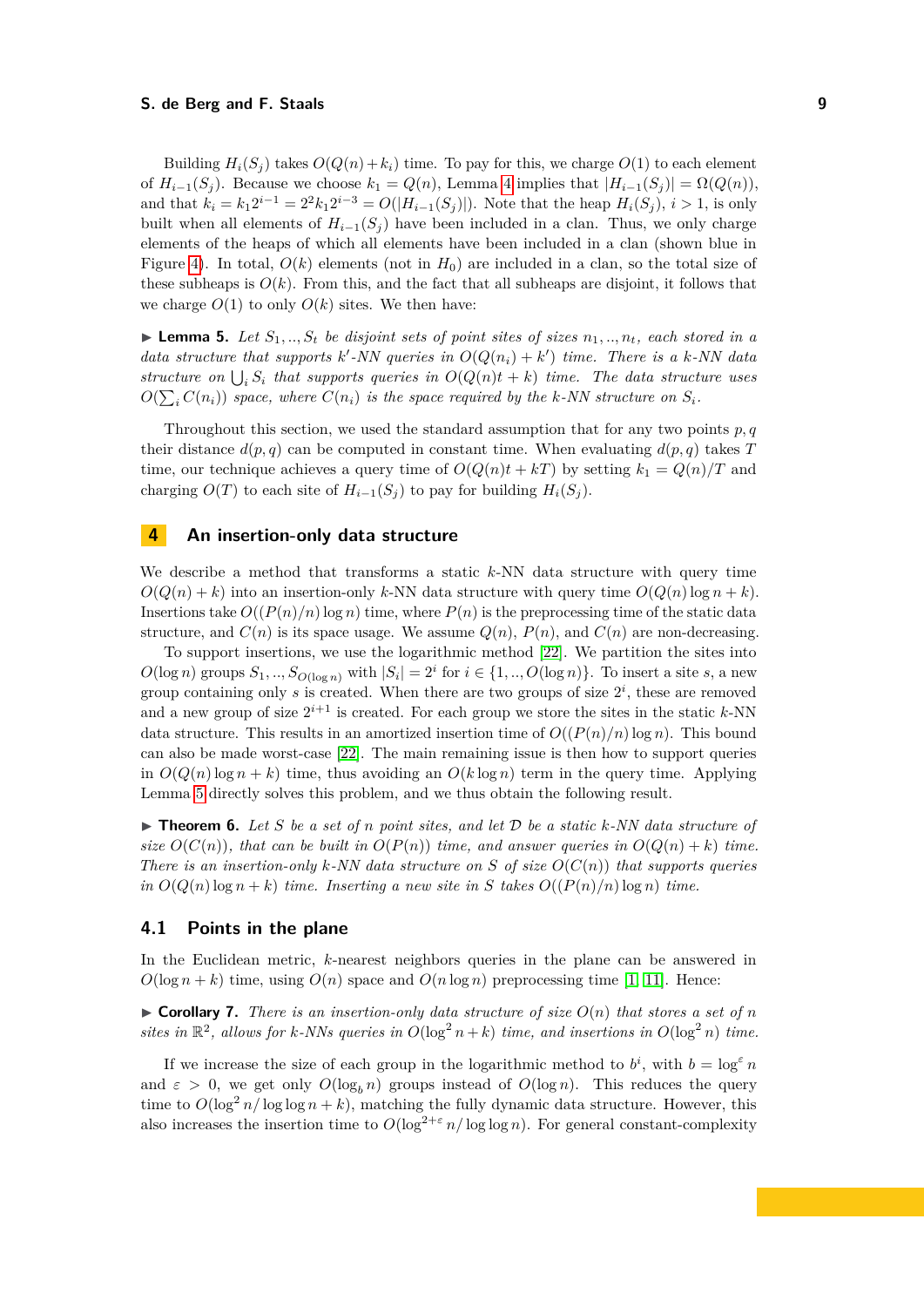Building  $H_i(S_i)$  takes  $O(Q(n) + k_i)$  time. To pay for this, we charge  $O(1)$  to each element of  $H_{i-1}(S_i)$ . Because we choose  $k_1 = Q(n)$ , Lemma [4](#page-7-1) implies that  $|H_{i-1}(S_i)| = \Omega(Q(n)),$ and that  $k_i = k_1 2^{i-1} = 2^2 k_1 2^{i-3} = O(|H_{i-1}(S_j)|)$ . Note that the heap  $H_i(S_j)$ ,  $i > 1$ , is only built when all elements of  $H_{i-1}(S_j)$  have been included in a clan. Thus, we only charge elements of the heaps of which all elements have been included in a clan (shown blue in Figure [4\)](#page-7-0). In total,  $O(k)$  elements (not in  $H_0$ ) are included in a clan, so the total size of these subheaps is  $O(k)$ . From this, and the fact that all subheaps are disjoint, it follows that we charge  $O(1)$  to only  $O(k)$  sites. We then have:

<span id="page-8-1"></span>**Lemma 5.** Let  $S_1, ..., S_t$  be disjoint sets of point sites of sizes  $n_1, ..., n_t$ , each stored in a *data structure that supports*  $k'$ -NN queries in  $O(Q(n_i) + k')$  time. There is a k-NN data structure on  $\bigcup_i S_i$  that supports queries in  $O(Q(n)t + k)$  time. The data structure uses  $O(\sum_i C(n_i))$  space, where  $C(n_i)$  is the space required by the k-NN structure on  $S_i$ .

Throughout this section, we used the standard assumption that for any two points *p, q* their distance  $d(p, q)$  can be computed in constant time. When evaluating  $d(p, q)$  takes *T* time, our technique achieves a query time of  $O(Q(n)t + kT)$  by setting  $k_1 = Q(n)/T$  and charging  $O(T)$  to each site of  $H_{i-1}(S_i)$  to pay for building  $H_i(S_i)$ .

# <span id="page-8-0"></span>**4 An insertion-only data structure**

We describe a method that transforms a static *k*-NN data structure with query time  $O(Q(n) + k)$  into an insertion-only *k*-NN data structure with query time  $O(Q(n) \log n + k)$ . Insertions take  $O((P(n)/n)\log n)$  time, where  $P(n)$  is the preprocessing time of the static data structure, and  $C(n)$  is its space usage. We assume  $Q(n)$ ,  $P(n)$ , and  $C(n)$  are non-decreasing.

To support insertions, we use the logarithmic method [\[22\]](#page-19-3). We partition the sites into  $O(\log n)$  groups  $S_1, ..., S_{O(\log n)}$  with  $|S_i| = 2^i$  for  $i \in \{1, ..., O(\log n)\}$ . To insert a site *s*, a new group containing only  $s$  is created. When there are two groups of size  $2^i$ , these are removed and a new group of size  $2^{i+1}$  is created. For each group we store the sites in the static  $k$ -NN data structure. This results in an amortized insertion time of  $O((P(n)/n)\log n)$ . This bound can also be made worst-case [\[22\]](#page-19-3). The main remaining issue is then how to support queries in  $O(Q(n) \log n + k)$  time, thus avoiding an  $O(k \log n)$  term in the query time. Applying Lemma [5](#page-8-1) directly solves this problem, and we thus obtain the following result.

<span id="page-8-2"></span> $\triangleright$  **Theorem 6.** Let *S* be a set of *n* point sites, and let *D* be a static *k*-NN data structure of *size*  $O(C(n))$ *, that can be built in*  $O(P(n))$  *time, and answer queries in*  $O(Q(n) + k)$  *time. There is an insertion-only*  $k$ *-NN data structure on*  $S$  *of size*  $O(C(n))$  *that supports queries in*  $O(Q(n) \log n + k)$  *time. Inserting a new site in S takes*  $O((P(n)/n) \log n)$  *time.* 

#### **4.1 Points in the plane**

In the Euclidean metric, *k*-nearest neighbors queries in the plane can be answered in  $O(\log n + k)$  time, using  $O(n)$  space and  $O(n \log n)$  preprocessing time [\[1,](#page-18-4) [11\]](#page-18-2). Hence:

 $\triangleright$  **Corollary 7.** There is an insertion-only data structure of size  $O(n)$  that stores a set of *n* sites in  $\mathbb{R}^2$ , allows for *k*-NNs queries in  $O(\log^2 n + k)$  time, and insertions in  $O(\log^2 n)$  time.

If we increase the size of each group in the logarithmic method to  $b^i$ , with  $b = \log^{\epsilon} n$ and  $\varepsilon > 0$ , we get only  $O(\log_b n)$  groups instead of  $O(\log n)$ . This reduces the query time to  $O(\log^2 n / \log \log n + k)$ , matching the fully dynamic data structure. However, this also increases the insertion time to  $O(\log^{2+\epsilon} n/\log \log n)$ . For general constant-complexity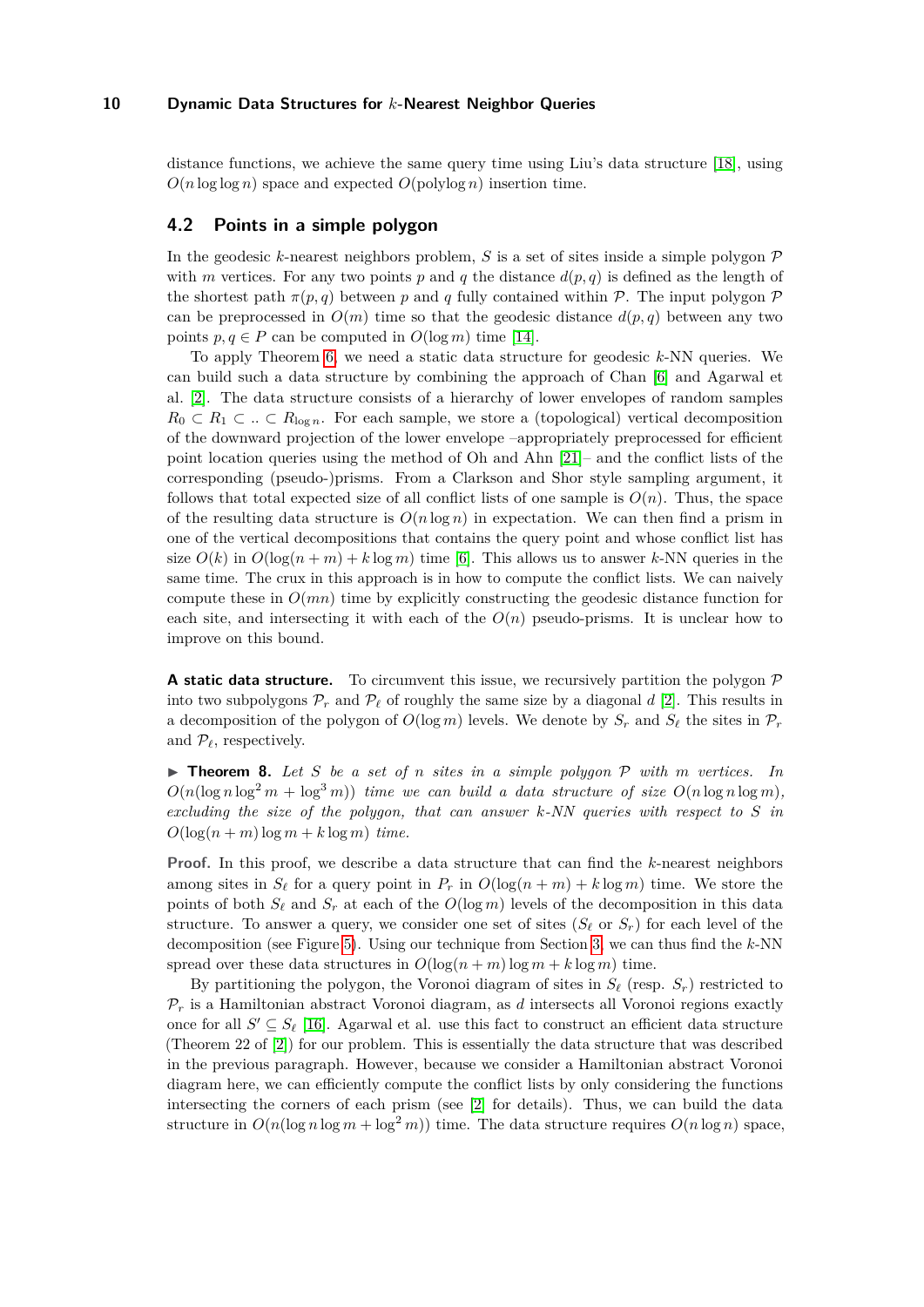distance functions, we achieve the same query time using Liu's data structure [\[18\]](#page-19-1), using  $O(n \log \log n)$  space and expected  $O(\text{polylog } n)$  insertion time.

#### <span id="page-9-1"></span>**4.2 Points in a simple polygon**

In the geodesic *k*-nearest neighbors problem, *S* is a set of sites inside a simple polygon  $\mathcal{P}$ with *m* vertices. For any two points p and q the distance  $d(p, q)$  is defined as the length of the shortest path  $\pi(p,q)$  between *p* and *q* fully contained within *P*. The input polygon *P* can be preprocessed in  $O(m)$  time so that the geodesic distance  $d(p,q)$  between any two points  $p, q \in P$  can be computed in  $O(\log m)$  time [\[14\]](#page-18-11).

To apply Theorem [6,](#page-8-2) we need a static data structure for geodesic *k*-NN queries. We can build such a data structure by combining the approach of Chan [\[6\]](#page-18-1) and Agarwal et al. [\[2\]](#page-18-5). The data structure consists of a hierarchy of lower envelopes of random samples  $R_0 \subset R_1 \subset \ldots \subset R_{\log n}$ . For each sample, we store a (topological) vertical decomposition of the downward projection of the lower envelope –appropriately preprocessed for efficient point location queries using the method of Oh and Ahn [\[21\]](#page-19-6)– and the conflict lists of the corresponding (pseudo-)prisms. From a Clarkson and Shor style sampling argument, it follows that total expected size of all conflict lists of one sample is  $O(n)$ . Thus, the space of the resulting data structure is  $O(n \log n)$  in expectation. We can then find a prism in one of the vertical decompositions that contains the query point and whose conflict list has size  $O(k)$  in  $O(\log(n+m) + k \log m)$  time [\[6\]](#page-18-1). This allows us to answer k-NN queries in the same time. The crux in this approach is in how to compute the conflict lists. We can naively compute these in *O*(*mn*) time by explicitly constructing the geodesic distance function for each site, and intersecting it with each of the  $O(n)$  pseudo-prisms. It is unclear how to improve on this bound.

**A static data structure.** To circumvent this issue, we recursively partition the polygon  $\mathcal{P}$ into two subpolygons  $\mathcal{P}_r$  and  $\mathcal{P}_\ell$  of roughly the same size by a diagonal *d* [\[2\]](#page-18-5). This results in a decomposition of the polygon of  $O(\log m)$  levels. We denote by  $S_r$  and  $S_\ell$  the sites in  $\mathcal{P}_r$ and  $\mathcal{P}_{\ell}$ , respectively.

<span id="page-9-0"></span> $\triangleright$  **Theorem 8.** Let *S* be a set of *n* sites in a simple polygon  $P$  with *m* vertices. In  $O(n(\log n \log^2 m + \log^3 m))$  *time we can build a data structure of size*  $O(n \log n \log m)$ . *excluding the size of the polygon, that can answer k-NN queries with respect to S in*  $O(\log(n+m)\log m + k\log m)$  *time.* 

**Proof.** In this proof, we describe a data structure that can find the *k*-nearest neighbors among sites in  $S_\ell$  for a query point in  $P_r$  in  $O(\log(n+m) + k \log m)$  time. We store the points of both  $S_\ell$  and  $S_r$  at each of the  $O(\log m)$  levels of the decomposition in this data structure. To answer a query, we consider one set of sites  $(S_\ell \text{ or } S_r)$  for each level of the decomposition (see Figure [5\)](#page-10-0). Using our technique from Section [3,](#page-6-0) we can thus find the *k*-NN spread over these data structures in  $O(\log(n+m)\log m + k\log m)$  time.

By partitioning the polygon, the Voronoi diagram of sites in  $S_\ell$  (resp.  $S_r$ ) restricted to  $P_r$  is a Hamiltonian abstract Voronoi diagram, as *d* intersects all Voronoi regions exactly once for all  $S' \subseteq S_{\ell}$  [\[16\]](#page-19-7). Agarwal et al. use this fact to construct an efficient data structure (Theorem 22 of [\[2\]](#page-18-5)) for our problem. This is essentially the data structure that was described in the previous paragraph. However, because we consider a Hamiltonian abstract Voronoi diagram here, we can efficiently compute the conflict lists by only considering the functions intersecting the corners of each prism (see [\[2\]](#page-18-5) for details). Thus, we can build the data structure in  $O(n(\log n \log m + \log^2 m))$  time. The data structure requires  $O(n \log n)$  space,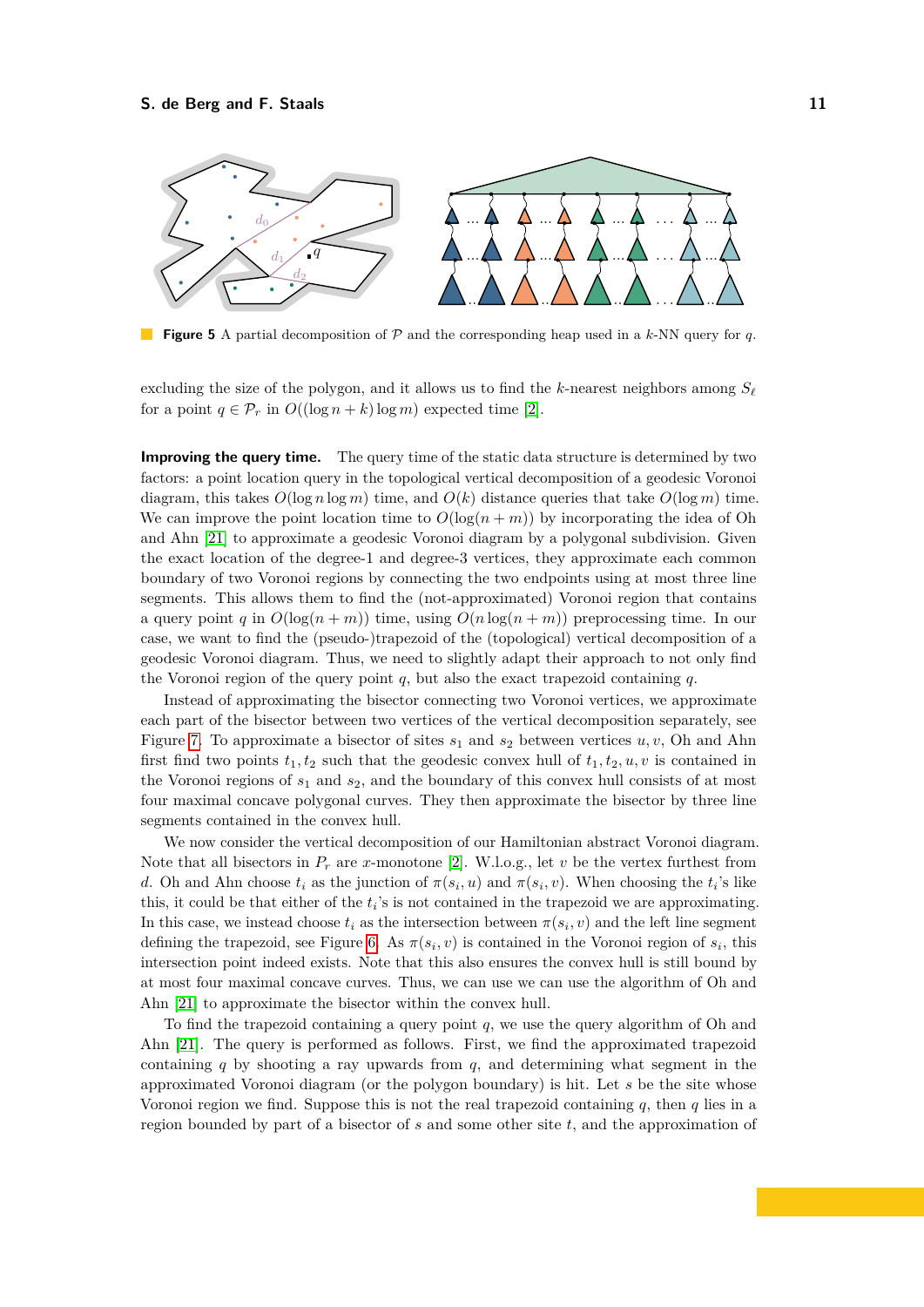<span id="page-10-0"></span>

**Figure 5** A partial decomposition of P and the corresponding heap used in a *k*-NN query for *q*.

excluding the size of the polygon, and it allows us to find the *k*-nearest neighbors among  $S_f$ for a point  $q \in \mathcal{P}_r$  in  $O((\log n + k) \log m)$  expected time [\[2\]](#page-18-5).

**Improving the query time.** The query time of the static data structure is determined by two factors: a point location query in the topological vertical decomposition of a geodesic Voronoi diagram, this takes  $O(\log n \log m)$  time, and  $O(k)$  distance queries that take  $O(\log m)$  time. We can improve the point location time to  $O(\log(n+m))$  by incorporating the idea of Oh and Ahn [\[21\]](#page-19-6) to approximate a geodesic Voronoi diagram by a polygonal subdivision. Given the exact location of the degree-1 and degree-3 vertices, they approximate each common boundary of two Voronoi regions by connecting the two endpoints using at most three line segments. This allows them to find the (not-approximated) Voronoi region that contains a query point *q* in  $O(\log(n + m))$  time, using  $O(n \log(n + m))$  preprocessing time. In our case, we want to find the (pseudo-)trapezoid of the (topological) vertical decomposition of a geodesic Voronoi diagram. Thus, we need to slightly adapt their approach to not only find the Voronoi region of the query point *q*, but also the exact trapezoid containing *q*.

Instead of approximating the bisector connecting two Voronoi vertices, we approximate each part of the bisector between two vertices of the vertical decomposition separately, see Figure [7.](#page-11-2) To approximate a bisector of sites  $s_1$  and  $s_2$  between vertices  $u, v$ , Oh and Ahn first find two points  $t_1, t_2$  such that the geodesic convex hull of  $t_1, t_2, u, v$  is contained in the Voronoi regions of *s*<sup>1</sup> and *s*2, and the boundary of this convex hull consists of at most four maximal concave polygonal curves. They then approximate the bisector by three line segments contained in the convex hull.

We now consider the vertical decomposition of our Hamiltonian abstract Voronoi diagram. Note that all bisectors in  $P_r$  are *x*-monotone [\[2\]](#page-18-5). W.l.o.g., let *v* be the vertex furthest from *d*. Oh and Ahn choose  $t_i$  as the junction of  $\pi(s_i, u)$  and  $\pi(s_i, v)$ . When choosing the  $t_i$ 's like this, it could be that either of the  $t_i$ 's is not contained in the trapezoid we are approximating. In this case, we instead choose  $t_i$  as the intersection between  $\pi(s_i, v)$  and the left line segment defining the trapezoid, see Figure [6.](#page-11-2) As  $\pi(s_i, v)$  is contained in the Voronoi region of  $s_i$ , this intersection point indeed exists. Note that this also ensures the convex hull is still bound by at most four maximal concave curves. Thus, we can use we can use the algorithm of Oh and Ahn [\[21\]](#page-19-6) to approximate the bisector within the convex hull.

To find the trapezoid containing a query point *q*, we use the query algorithm of Oh and Ahn [\[21\]](#page-19-6). The query is performed as follows. First, we find the approximated trapezoid containing  $q$  by shooting a ray upwards from  $q$ , and determining what segment in the approximated Voronoi diagram (or the polygon boundary) is hit. Let *s* be the site whose Voronoi region we find. Suppose this is not the real trapezoid containing *q*, then *q* lies in a region bounded by part of a bisector of *s* and some other site *t*, and the approximation of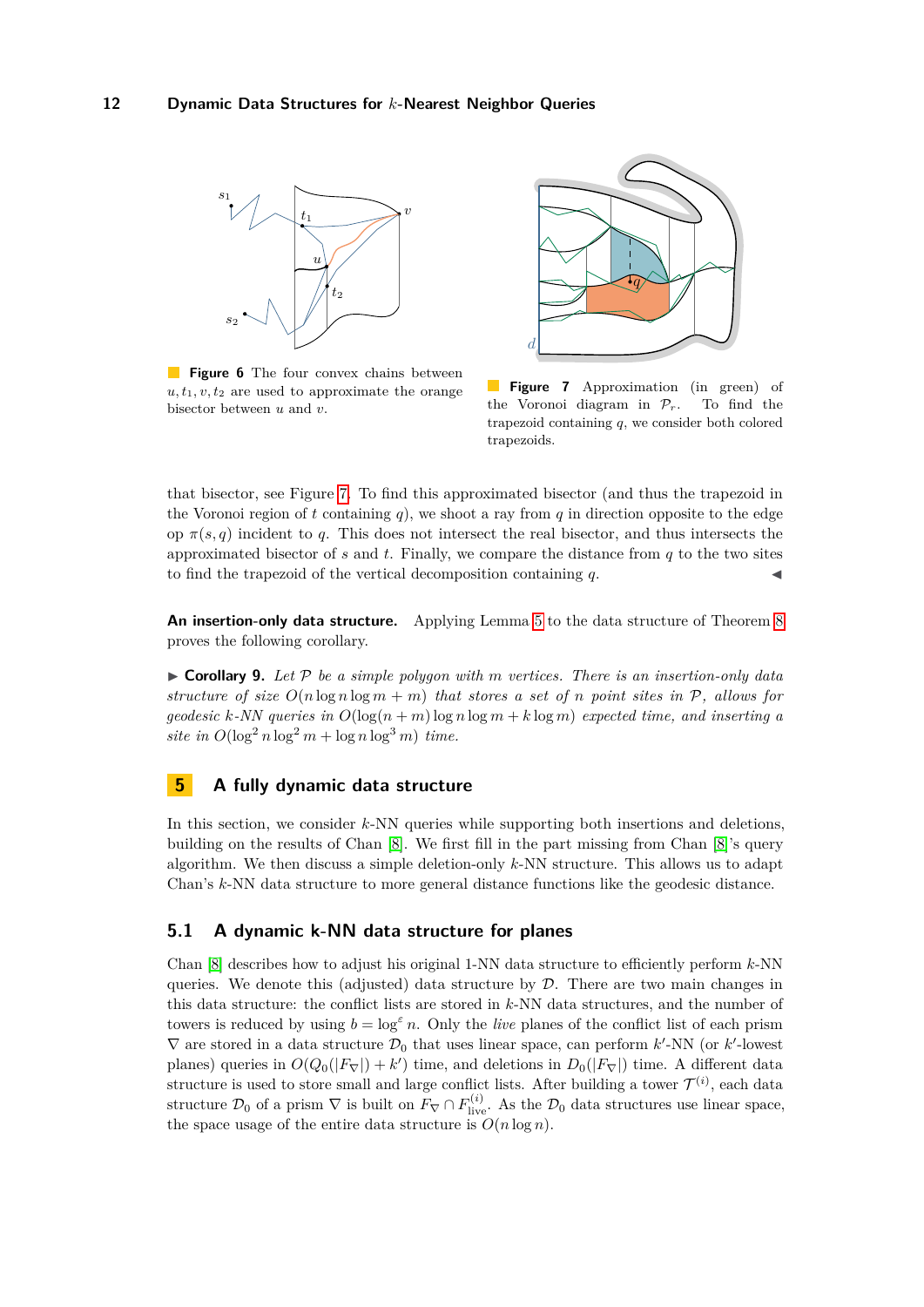<span id="page-11-2"></span>

**Figure 6** The four convex chains between  $u, t_1, v, t_2$  are used to approximate the orange bisector between *u* and *v*.



**Figure 7** Approximation (in green) of the Voronoi diagram in  $\mathcal{P}_r$ . To find the trapezoid containing *q*, we consider both colored trapezoids.

that bisector, see Figure [7.](#page-11-2) To find this approximated bisector (and thus the trapezoid in the Voronoi region of  $t$  containing  $q$ ), we shoot a ray from  $q$  in direction opposite to the edge op  $\pi(s, q)$  incident to q. This does not intersect the real bisector, and thus intersects the approximated bisector of *s* and *t*. Finally, we compare the distance from *q* to the two sites to find the trapezoid of the vertical decomposition containing *q*.

**An insertion-only data structure.** Applying Lemma [5](#page-8-1) to the data structure of Theorem [8](#page-9-0) proves the following corollary.

 $\triangleright$  **Corollary 9.** Let  $\mathcal{P}$  be a simple polygon with m vertices. There is an insertion-only data *structure of size*  $O(n \log n \log m + m)$  *that stores a set of n point sites in* P, allows for *geodesic k*-*NN* queries in  $O(\log(n+m)\log n\log m + k\log m)$  expected time, and inserting a  $site$  *in*  $O(\log^2 n \log^2 m + \log n \log^3 m)$  *time.* 

# <span id="page-11-0"></span>**5 A fully dynamic data structure**

In this section, we consider *k*-NN queries while supporting both insertions and deletions, building on the results of Chan [\[8\]](#page-18-8). We first fill in the part missing from Chan [\[8\]](#page-18-8)'s query algorithm. We then discuss a simple deletion-only *k*-NN structure. This allows us to adapt Chan's *k*-NN data structure to more general distance functions like the geodesic distance.

## <span id="page-11-1"></span>**5.1 A dynamic k-NN data structure for planes**

Chan [\[8\]](#page-18-8) describes how to adjust his original 1-NN data structure to efficiently perform *k*-NN queries. We denote this (adjusted) data structure by  $D$ . There are two main changes in this data structure: the conflict lists are stored in *k*-NN data structures, and the number of towers is reduced by using  $b = \log^{\epsilon} n$ . Only the *live* planes of the conflict list of each prism  $\nabla$  are stored in a data structure  $\mathcal{D}_0$  that uses linear space, can perform *k*'-NN (or *k*'-lowest planes) queries in  $O(Q_0(|F_\nabla|)+k')$  time, and deletions in  $D_0(|F_\nabla|)$  time. A different data structure is used to store small and large conflict lists. After building a tower  $\mathcal{T}^{(i)}$ , each data structure  $\mathcal{D}_0$  of a prism  $\nabla$  is built on  $F_{\nabla} \cap F_{\text{live}}^{(i)}$ . As the  $\mathcal{D}_0$  data structures use linear space, the space usage of the entire data structure is  $O(n \log n)$ .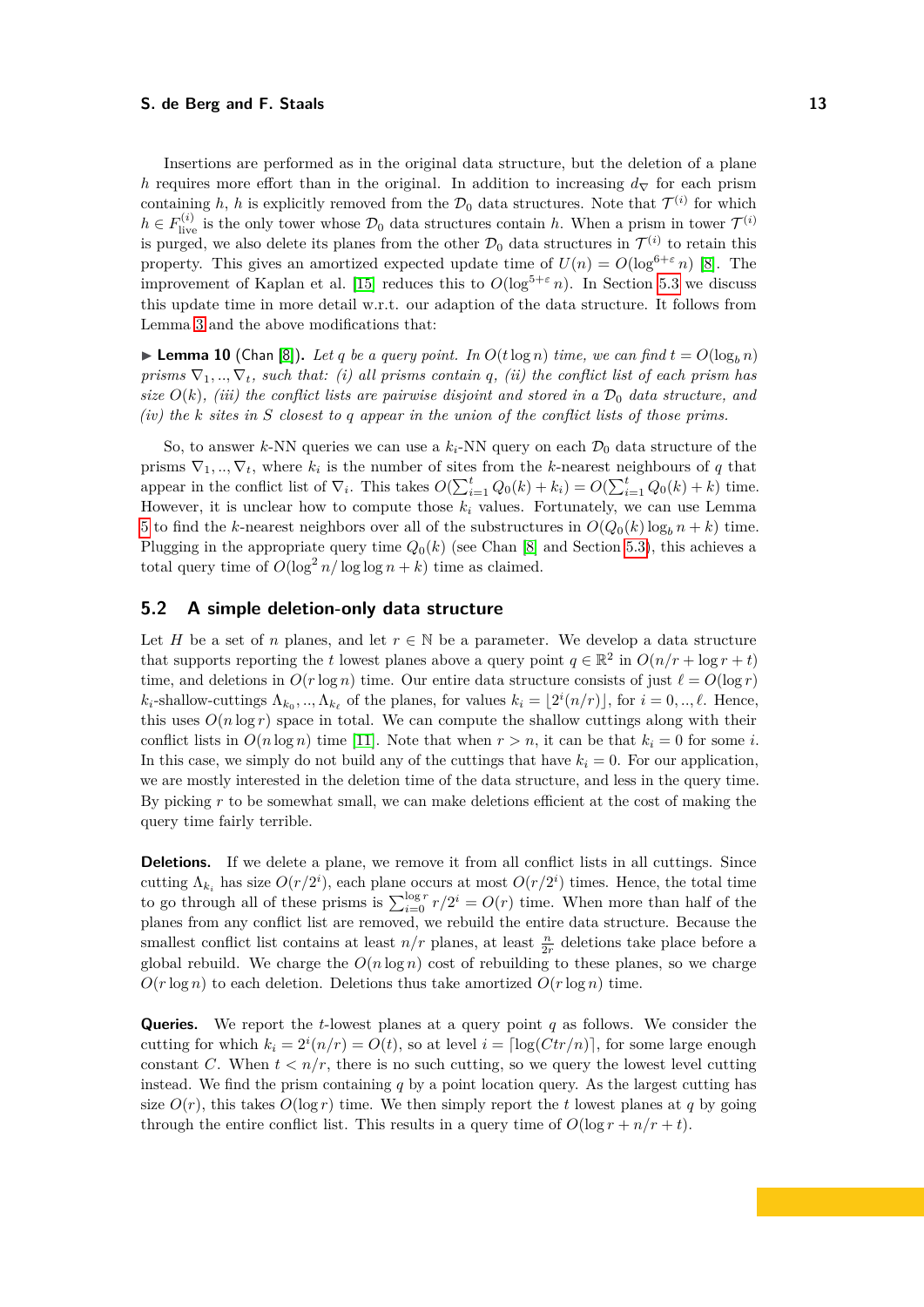Insertions are performed as in the original data structure, but the deletion of a plane *h* requires more effort than in the original. In addition to increasing  $d<sub>∇</sub>$  for each prism containing h, h is explicitly removed from the  $\mathcal{D}_0$  data structures. Note that  $\mathcal{T}^{(i)}$  for which  $h \in F_{\text{live}}^{(i)}$  is the only tower whose  $\mathcal{D}_0$  data structures contain *h*. When a prism in tower  $\mathcal{T}^{(i)}$ is purged, we also delete its planes from the other  $\mathcal{D}_0$  data structures in  $\mathcal{T}^{(i)}$  to retain this property. This gives an amortized expected update time of  $U(n) = O(\log^{6+\epsilon} n)$  [\[8\]](#page-18-8). The improvement of Kaplan et al. [\[15\]](#page-19-4) reduces this to  $O(\log^{5+\epsilon} n)$ . In Section [5.3](#page-13-0) we discuss this update time in more detail w.r.t. our adaption of the data structure. It follows from Lemma [3](#page-6-2) and the above modifications that:

**Example 10** (Chan [\[8\]](#page-18-8)). Let q be a query point. In  $O(t \log n)$  time, we can find  $t = O(\log_b n)$ *prisms*  $\nabla_1, \ldots, \nabla_t$ *, such that: (i) all prisms contain q, (ii) the conflict list of each prism has size*  $O(k)$ , *(iii)* the conflict lists are pairwise disjoint and stored in a  $\mathcal{D}_0$  data structure, and *(iv) the k sites in S closest to q appear in the union of the conflict lists of those prims.*

So, to answer *k*-NN queries we can use a  $k_i$ -NN query on each  $\mathcal{D}_0$  data structure of the prisms  $\nabla_1, \ldots, \nabla_t$ , where  $k_i$  is the number of sites from the *k*-nearest neighbours of *q* that appear in the conflict list of  $\nabla_i$ . This takes  $O(\sum_{i=1}^t Q_0(k) + k_i) = O(\sum_{i=1}^t Q_0(k) + k)$  time. However, it is unclear how to compute those  $k_i$  values. Fortunately, we can use Lemma [5](#page-8-1) to find the *k*-nearest neighbors over all of the substructures in  $O(Q_0(k)\log_b n + k)$  time. Plugging in the appropriate query time  $Q_0(k)$  (see Chan [\[8\]](#page-18-8) and Section [5.3\)](#page-13-0), this achieves a total query time of  $O(\log^2 n/\log \log n + k)$  time as claimed.

## <span id="page-12-0"></span>**5.2 A simple deletion-only data structure**

Let *H* be a set of *n* planes, and let  $r \in \mathbb{N}$  be a parameter. We develop a data structure that supports reporting the *t* lowest planes above a query point  $q \in \mathbb{R}^2$  in  $O(n/r + \log r + t)$ time, and deletions in  $O(r \log n)$  time. Our entire data structure consists of just  $\ell = O(\log r)$  $k_i$ -shallow-cuttings  $\Lambda_{k_0}, \dots, \Lambda_{k_\ell}$  of the planes, for values  $k_i = \lfloor 2^i(n/r) \rfloor$ , for  $i = 0, \dots, \ell$ . Hence, this uses  $O(n \log r)$  space in total. We can compute the shallow cuttings along with their conflict lists in  $O(n \log n)$  time [\[11\]](#page-18-2). Note that when  $r > n$ , it can be that  $k_i = 0$  for some *i*. In this case, we simply do not build any of the cuttings that have  $k_i = 0$ . For our application, we are mostly interested in the deletion time of the data structure, and less in the query time. By picking *r* to be somewhat small, we can make deletions efficient at the cost of making the query time fairly terrible.

**Deletions.** If we delete a plane, we remove it from all conflict lists in all cuttings. Since cutting  $\Lambda_{k_i}$  has size  $O(r/2^i)$ , each plane occurs at most  $O(r/2^i)$  times. Hence, the total time to go through all of these prisms is  $\sum_{i=0}^{\log r} r/2^i = O(r)$  time. When more than half of the planes from any conflict list are removed, we rebuild the entire data structure. Because the smallest conflict list contains at least  $n/r$  planes, at least  $\frac{n}{2r}$  deletions take place before a global rebuild. We charge the  $O(n \log n)$  cost of rebuilding to these planes, so we charge  $O(r \log n)$  to each deletion. Deletions thus take amortized  $O(r \log n)$  time.

**Queries.** We report the *t*-lowest planes at a query point *q* as follows. We consider the cutting for which  $k_i = 2^i(n/r) = O(t)$ , so at level  $i = \lceil \log(Ctr/n) \rceil$ , for some large enough constant *C*. When  $t < n/r$ , there is no such cutting, so we query the lowest level cutting instead. We find the prism containing *q* by a point location query. As the largest cutting has size  $O(r)$ , this takes  $O(\log r)$  time. We then simply report the *t* lowest planes at *q* by going through the entire conflict list. This results in a query time of  $O(\log r + n/r + t)$ .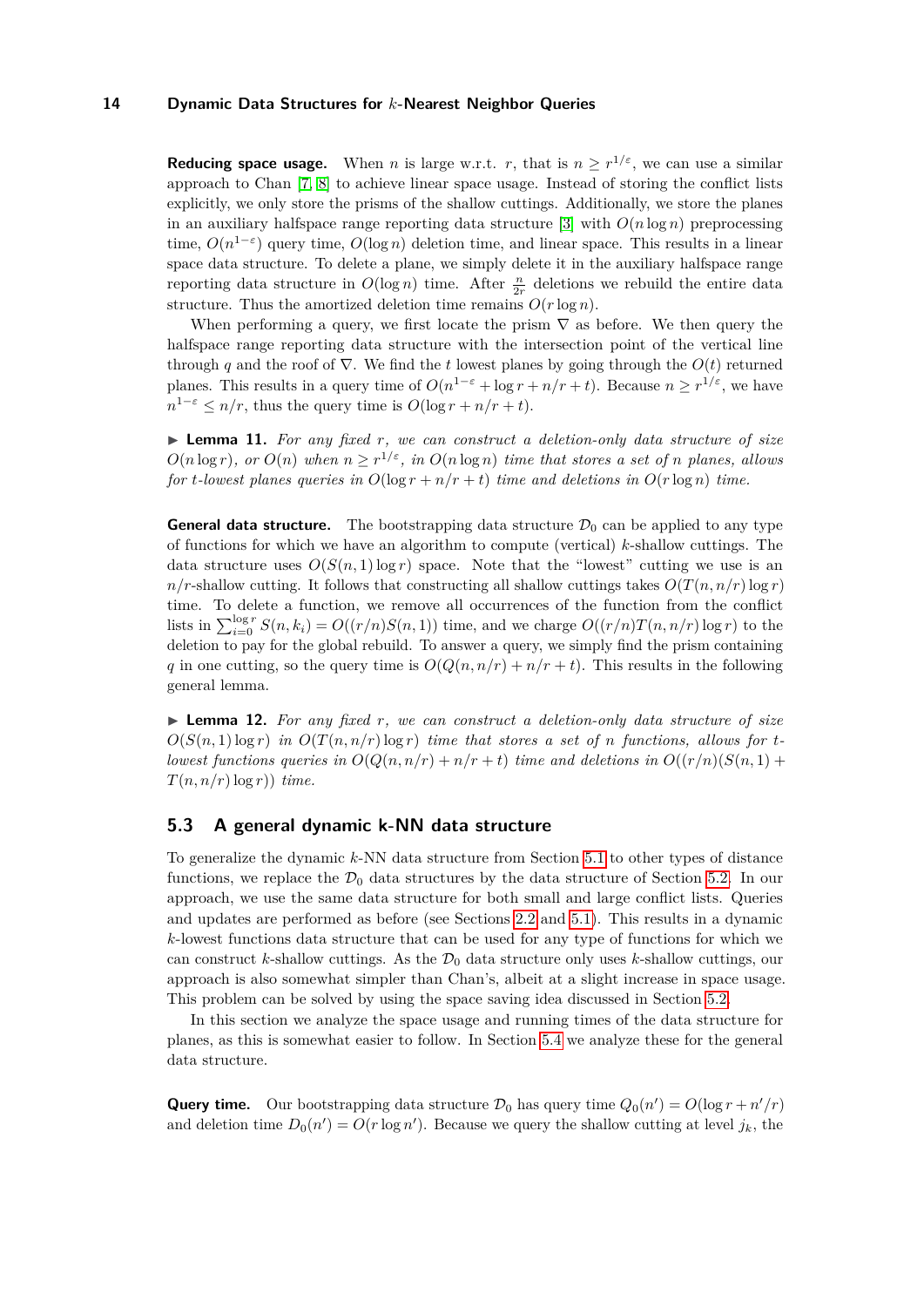**Reducing space usage.** When *n* is large w.r.t. *r*, that is  $n \geq r^{1/\varepsilon}$ , we can use a similar approach to Chan [\[7,](#page-18-6) [8\]](#page-18-8) to achieve linear space usage. Instead of storing the conflict lists explicitly, we only store the prisms of the shallow cuttings. Additionally, we store the planes in an auxiliary halfspace range reporting data structure [\[3\]](#page-18-12) with  $O(n \log n)$  preprocessing time,  $O(n^{1-\epsilon})$  query time,  $O(\log n)$  deletion time, and linear space. This results in a linear space data structure. To delete a plane, we simply delete it in the auxiliary halfspace range reporting data structure in  $O(\log n)$  time. After  $\frac{n}{2r}$  deletions we rebuild the entire data structure. Thus the amortized deletion time remains  $O(r \log n)$ .

When performing a query, we first locate the prism  $\nabla$  as before. We then query the halfspace range reporting data structure with the intersection point of the vertical line through *q* and the roof of  $\nabla$ . We find the *t* lowest planes by going through the  $O(t)$  returned planes. This results in a query time of  $O(n^{1-\epsilon} + \log r + n/r + t)$ . Because  $n \geq r^{1/\epsilon}$ , we have  $n^{1-\epsilon} \leq n/r$ , thus the query time is  $O(\log r + n/r + t)$ .

I **Lemma 11.** *For any fixed r, we can construct a deletion-only data structure of size*  $O(n \log r)$ , or  $O(n)$  when  $n \geq r^{1/\varepsilon}$ , in  $O(n \log n)$  time that stores a set of *n* planes, allows *for t*-lowest planes queries in  $O(\log r + n/r + t)$  *time and deletions in*  $O(r \log n)$  *time.* 

**General data structure.** The bootstrapping data structure  $\mathcal{D}_0$  can be applied to any type of functions for which we have an algorithm to compute (vertical) *k*-shallow cuttings. The data structure uses  $O(S(n, 1) \log r)$  space. Note that the "lowest" cutting we use is an  $n/r$ -shallow cutting. It follows that constructing all shallow cuttings takes  $O(T(n, n/r) \log r)$ time. To delete a function, we remove all occurrences of the function from the conflict lists in  $\sum_{i=0}^{\log r} S(n, k_i) = O((r/n)S(n, 1))$  time, and we charge  $O((r/n)T(n, n/r) \log r)$  to the deletion to pay for the global rebuild. To answer a query, we simply find the prism containing *q* in one cutting, so the query time is  $O(Q(n, n/r) + n/r + t)$ . This results in the following general lemma.

<span id="page-13-1"></span>I **Lemma 12.** *For any fixed r, we can construct a deletion-only data structure of size*  $O(S(n, 1) \log r)$  *in*  $O(T(n, n/r) \log r)$  *time that stores a set of n functions, allows for tlowest functions queries in*  $O(Q(n, n/r) + n/r + t)$  *time and deletions in*  $O((r/n)(S(n, 1) +$  $T(n, n/r) \log r$ ) *time.* 

## <span id="page-13-0"></span>**5.3 A general dynamic k-NN data structure**

To generalize the dynamic *k*-NN data structure from Section [5.1](#page-11-1) to other types of distance functions, we replace the  $\mathcal{D}_0$  data structures by the data structure of Section [5.2.](#page-12-0) In our approach, we use the same data structure for both small and large conflict lists. Queries and updates are performed as before (see Sections [2.2](#page-3-0) and [5.1\)](#page-11-1). This results in a dynamic *k*-lowest functions data structure that can be used for any type of functions for which we can construct *k*-shallow cuttings. As the  $\mathcal{D}_0$  data structure only uses *k*-shallow cuttings, our approach is also somewhat simpler than Chan's, albeit at a slight increase in space usage. This problem can be solved by using the space saving idea discussed in Section [5.2.](#page-12-0)

In this section we analyze the space usage and running times of the data structure for planes, as this is somewhat easier to follow. In Section [5.4](#page-15-0) we analyze these for the general data structure.

**Query time.** Our bootstrapping data structure  $\mathcal{D}_0$  has query time  $Q_0(n') = O(\log r + n'/r)$ and deletion time  $D_0(n') = O(r \log n')$ . Because we query the shallow cutting at level  $j_k$ , the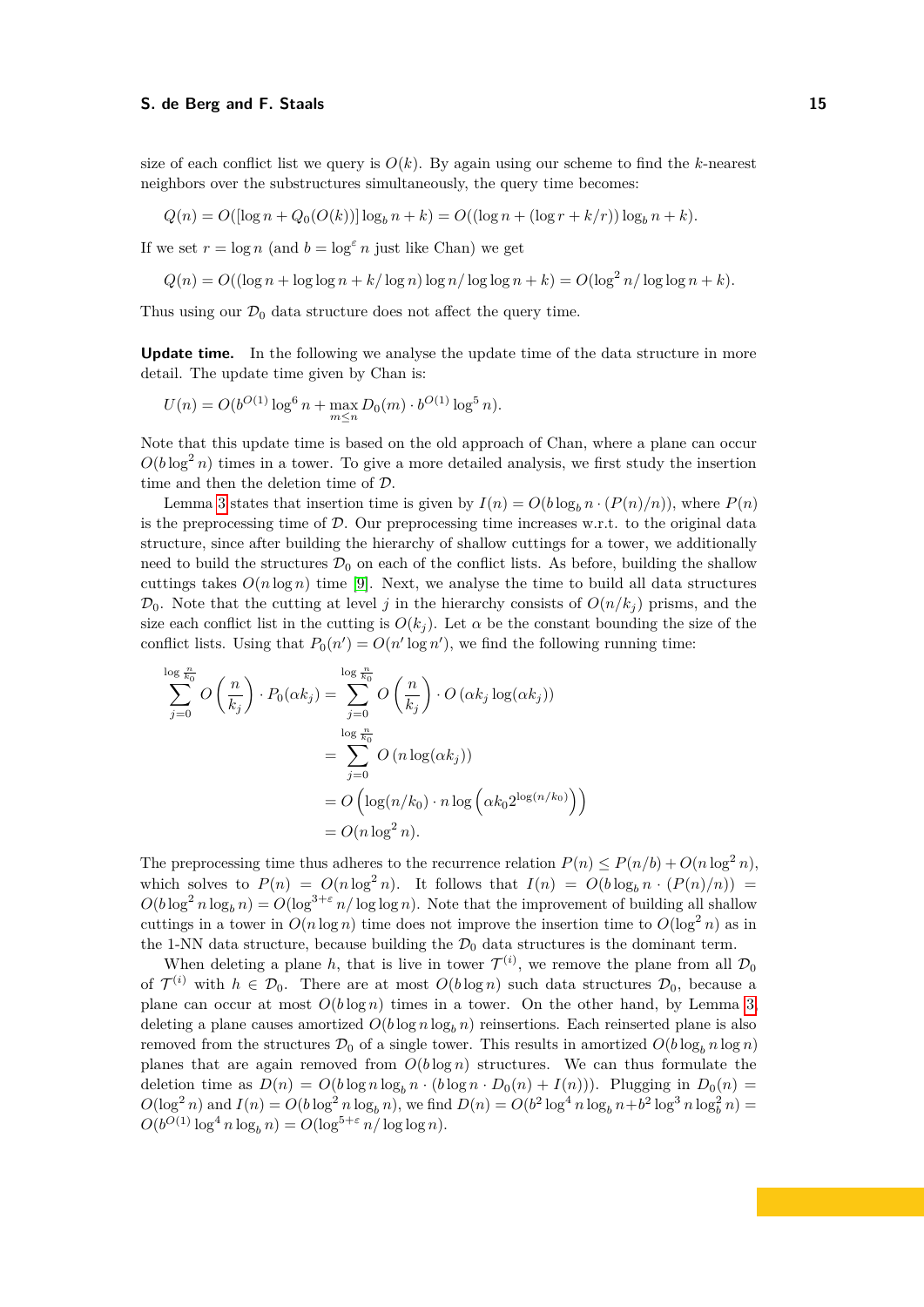size of each conflict list we query is  $O(k)$ . By again using our scheme to find the *k*-nearest neighbors over the substructures simultaneously, the query time becomes:

$$
Q(n) = O((\log n + Q_0(O(k))) \log_b n + k) = O((\log n + (\log r + k/r)) \log_b n + k).
$$

If we set  $r = \log n$  (and  $b = \log^{\epsilon} n$  just like Chan) we get

$$
Q(n) = O((\log n + \log \log n + k/\log n)\log n/\log \log n + k) = O(\log^2 n/\log \log n + k).
$$

Thus using our  $\mathcal{D}_0$  data structure does not affect the query time.

**Update time.** In the following we analyse the update time of the data structure in more detail. The update time given by Chan is:

$$
U(n) = O(b^{O(1)} \log^{6} n + \max_{m \leq n} D_0(m) \cdot b^{O(1)} \log^{5} n).
$$

Note that this update time is based on the old approach of Chan, where a plane can occur  $O(b \log^2 n)$  times in a tower. To give a more detailed analysis, we first study the insertion time and then the deletion time of D.

Lemma [3](#page-6-2) states that insertion time is given by  $I(n) = O(b \log_b n \cdot (P(n)/n))$ , where  $P(n)$ is the preprocessing time of  $D$ . Our preprocessing time increases w.r.t. to the original data structure, since after building the hierarchy of shallow cuttings for a tower, we additionally need to build the structures  $\mathcal{D}_0$  on each of the conflict lists. As before, building the shallow cuttings takes  $O(n \log n)$  time [\[9\]](#page-18-7). Next, we analyse the time to build all data structures  $\mathcal{D}_0$ . Note that the cutting at level *j* in the hierarchy consists of  $O(n/k_i)$  prisms, and the size each conflict list in the cutting is  $O(k_i)$ . Let  $\alpha$  be the constant bounding the size of the conflict lists. Using that  $P_0(n') = O(n' \log n')$ , we find the following running time:

$$
\sum_{j=0}^{\log \frac{n}{k_0}} O\left(\frac{n}{k_j}\right) \cdot P_0(\alpha k_j) = \sum_{j=0}^{\log \frac{n}{k_0}} O\left(\frac{n}{k_j}\right) \cdot O\left(\alpha k_j \log(\alpha k_j)\right)
$$

$$
= \sum_{j=0}^{\log \frac{n}{k_0}} O\left(n \log(\alpha k_j)\right)
$$

$$
= O\left(\log(n/k_0) \cdot n \log \left(\alpha k_0 2^{\log(n/k_0)}\right)\right)
$$

$$
= O(n \log^2 n).
$$

The preprocessing time thus adheres to the recurrence relation  $P(n) \leq P(n/b) + O(n \log^2 n)$ . which solves to  $P(n) = O(n \log^2 n)$ . It follows that  $I(n) = O(b \log_b n \cdot (P(n)/n))$  $O(b \log^2 n \log_b n) = O(\log^{3+\epsilon} n/\log \log n)$ . Note that the improvement of building all shallow cuttings in a tower in  $O(n \log n)$  time does not improve the insertion time to  $O(\log^2 n)$  as in the 1-NN data structure, because building the  $\mathcal{D}_0$  data structures is the dominant term.

When deleting a plane h, that is live in tower  $\mathcal{T}^{(i)}$ , we remove the plane from all  $\mathcal{D}_0$ of  $\mathcal{T}^{(i)}$  with  $h \in \mathcal{D}_0$ . There are at most  $O(b \log n)$  such data structures  $\mathcal{D}_0$ , because a plane can occur at most  $O(b \log n)$  times in a tower. On the other hand, by Lemma [3,](#page-6-2) deleting a plane causes amortized  $O(b \log n \log_b n)$  reinsertions. Each reinserted plane is also removed from the structures  $\mathcal{D}_0$  of a single tower. This results in amortized  $O(b \log_b n \log n)$ planes that are again removed from  $O(b \log n)$  structures. We can thus formulate the deletion time as  $D(n) = O(b \log n \log_b n \cdot (b \log n \cdot D_0(n) + I(n)))$ . Plugging in  $D_0(n) =$  $O(\log^2 n)$  and  $I(n) = O(b \log^2 n \log_b n)$ , we find  $D(n) = O(b^2 \log^4 n \log_b n + b^2 \log^3 n \log_b^2 n)$  $O(b^{O(1)} \log^4 n \log_b n) = O(\log^{5+\varepsilon} n / \log \log n).$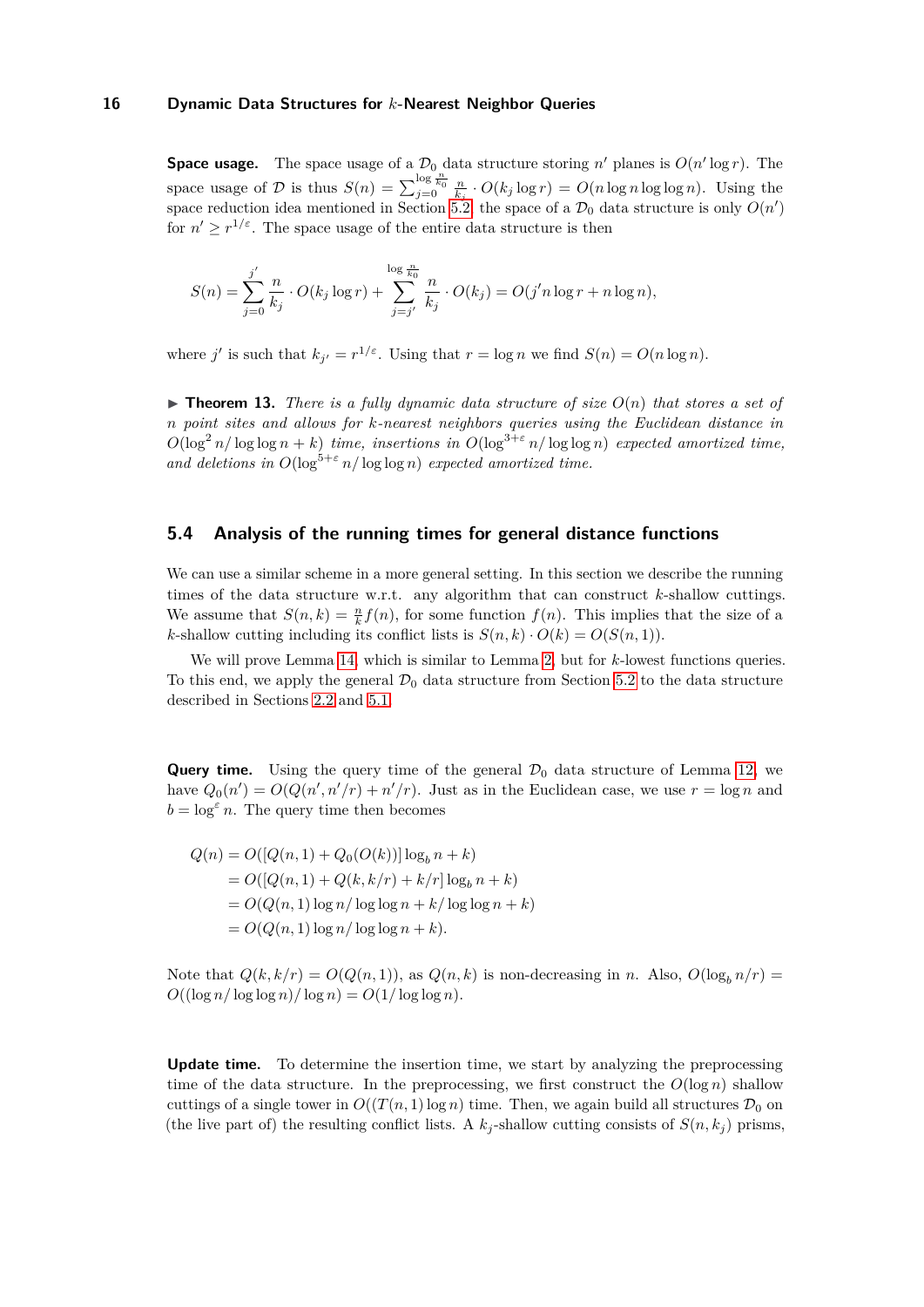**Space usage.** The space usage of a  $\mathcal{D}_0$  data structure storing *n*' planes is  $O(n' \log r)$ . The space usage of D is thus  $S(n) = \sum_{j=0}^{\log \frac{n}{k_0}} \frac{n}{k_j} \cdot O(k_j \log r) = O(n \log n \log \log n)$ . Using the space reduction idea mentioned in Section [5.2,](#page-12-0) the space of a  $\mathcal{D}_0$  data structure is only  $O(n')$ for  $n' \geq r^{1/\varepsilon}$ . The space usage of the entire data structure is then

$$
S(n) = \sum_{j=0}^{j'} \frac{n}{k_j} \cdot O(k_j \log r) + \sum_{j=j'}^{\log \frac{n}{k_0}} \frac{n}{k_j} \cdot O(k_j) = O(j'n \log r + n \log n),
$$

where *j'* is such that  $k_{j'} = r^{1/\varepsilon}$ . Using that  $r = \log n$  we find  $S(n) = O(n \log n)$ .

 $\triangleright$  **Theorem 13.** There is a fully dynamic data structure of size  $O(n)$  that stores a set of *n point sites and allows for k-nearest neighbors queries using the Euclidean distance in*  $O(\log^2 n / \log \log n + k)$  *time, insertions in*  $O(\log^{3+\varepsilon} n / \log \log n)$  *expected amortized time, and deletions in*  $O(\log^{5+\epsilon} n/\log \log n)$  *expected amortized time.* 

## <span id="page-15-0"></span>**5.4 Analysis of the running times for general distance functions**

We can use a similar scheme in a more general setting. In this section we describe the running times of the data structure w.r.t. any algorithm that can construct *k*-shallow cuttings. We assume that  $S(n, k) = \frac{n}{k} f(n)$ , for some function  $f(n)$ . This implies that the size of a *k*-shallow cutting including its conflict lists is  $S(n, k) \cdot O(k) = O(S(n, 1)).$ 

We will prove Lemma [14,](#page-16-0) which is similar to Lemma [2,](#page-5-0) but for *k*-lowest functions queries. To this end, we apply the general  $\mathcal{D}_0$  data structure from Section [5.2](#page-12-0) to the data structure described in Sections [2.2](#page-3-0) and [5.1.](#page-11-1)

**Query time.** Using the query time of the general  $\mathcal{D}_0$  data structure of Lemma [12,](#page-13-1) we have  $Q_0(n') = O(Q(n', n'/r) + n'/r)$ . Just as in the Euclidean case, we use  $r = \log n$  and  $b = \log^{\varepsilon} n$ . The query time then becomes

$$
Q(n) = O([Q(n, 1) + Q_0(O(k))]\log_b n + k)
$$
  
=  $O([Q(n, 1) + Q(k, k/r) + k/r] \log_b n + k)$   
=  $O(Q(n, 1) \log n / \log \log n + k / \log \log n + k)$   
=  $O(Q(n, 1) \log n / \log \log n + k).$ 

Note that  $Q(k, k/r) = O(Q(n, 1))$ , as  $Q(n, k)$  is non-decreasing in *n*. Also,  $O(\log_b n/r)$  $O((\log n / \log \log n) / \log n) = O(1 / \log \log n)$ .

**Update time.** To determine the insertion time, we start by analyzing the preprocessing time of the data structure. In the preprocessing, we first construct the  $O(\log n)$  shallow cuttings of a single tower in  $O((T(n, 1)\log n)$  time. Then, we again build all structures  $\mathcal{D}_0$  on (the live part of) the resulting conflict lists. A  $k_j$ -shallow cutting consists of  $S(n, k_j)$  prisms,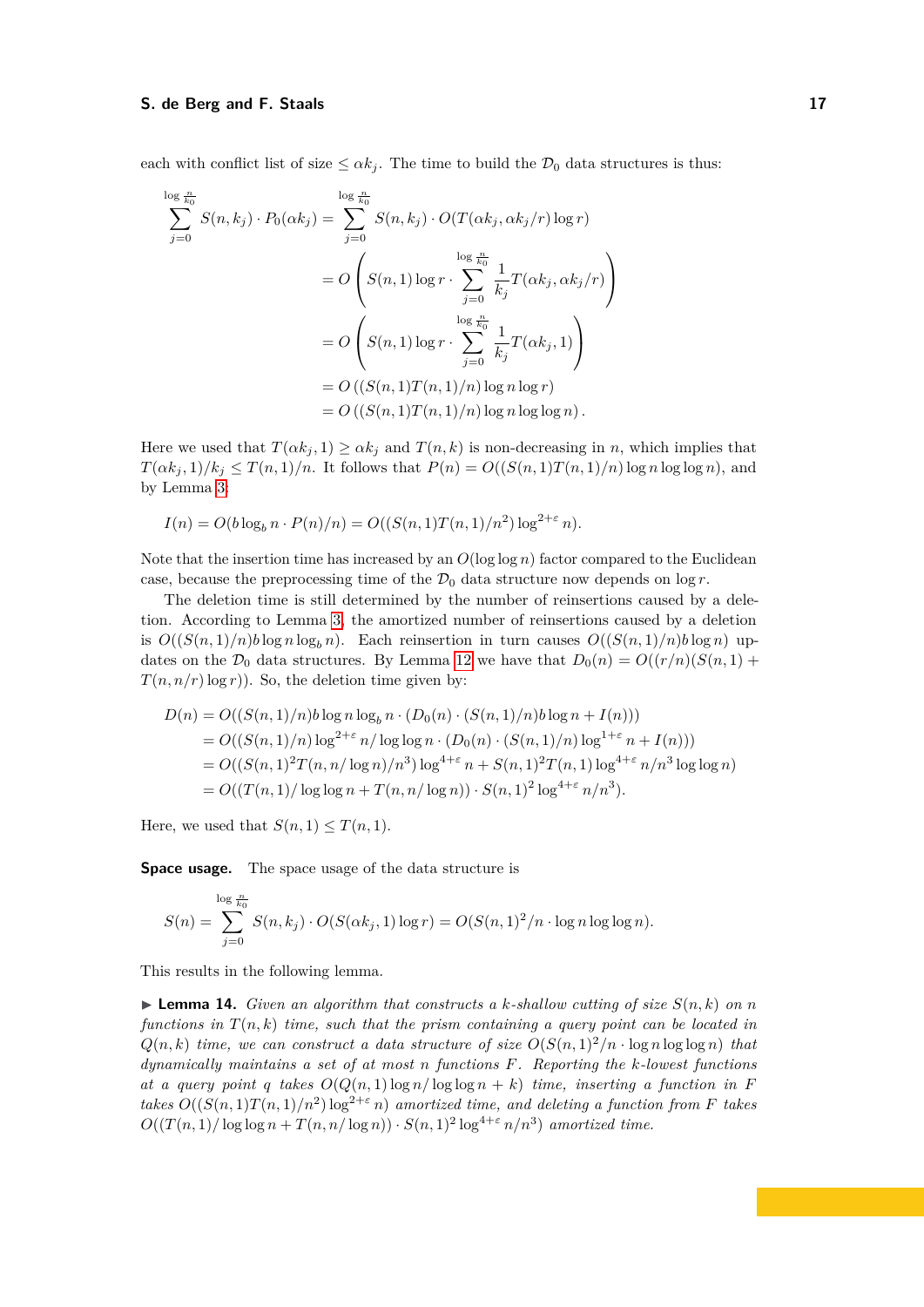each with conflict list of size  $\leq \alpha k_j$ . The time to build the  $\mathcal{D}_0$  data structures is thus:

$$
\sum_{j=0}^{\log \frac{n}{k_0}} S(n, k_j) \cdot P_0(\alpha k_j) = \sum_{j=0}^{\log \frac{n}{k_0}} S(n, k_j) \cdot O(T(\alpha k_j, \alpha k_j/r) \log r)
$$
  
= 
$$
O\left(S(n, 1) \log r \cdot \sum_{j=0}^{\log \frac{n}{k_0}} \frac{1}{k_j} T(\alpha k_j, \alpha k_j/r)\right)
$$
  
= 
$$
O\left(S(n, 1) \log r \cdot \sum_{j=0}^{\log \frac{n}{k_0}} \frac{1}{k_j} T(\alpha k_j, 1)\right)
$$
  
= 
$$
O\left((S(n, 1)T(n, 1)/n) \log n \log r\right)
$$
  
= 
$$
O\left((S(n, 1)T(n, 1)/n) \log n \log \log n\right).
$$

Here we used that  $T(\alpha k_j, 1) \ge \alpha k_j$  and  $T(n, k)$  is non-decreasing in *n*, which implies that  $T(\alpha k_j, 1)/k_j \leq T(n, 1)/n$ . It follows that  $P(n) = O((S(n, 1)T(n, 1)/n) \log n \log \log n)$ , and by Lemma [3:](#page-6-2)

$$
I(n) = O(b \log_b n \cdot P(n)/n) = O((S(n,1)T(n,1)/n^2) \log^{2+\varepsilon} n).
$$

Note that the insertion time has increased by an  $O(\log \log n)$  factor compared to the Euclidean case, because the preprocessing time of the  $\mathcal{D}_0$  data structure now depends on  $\log r$ .

The deletion time is still determined by the number of reinsertions caused by a deletion. According to Lemma [3,](#page-6-2) the amortized number of reinsertions caused by a deletion is  $O((S(n,1)/n)b \log n \log_b n)$ . Each reinsertion in turn causes  $O((S(n,1)/n)b \log n)$  updates on the  $\mathcal{D}_0$  data structures. By Lemma [12](#page-13-1) we have that  $D_0(n) = O((r/n)(S(n, 1) +$  $T(n, n/r)$  log *r*)). So, the deletion time given by:

$$
D(n) = O((S(n, 1)/n)b \log n \log_b n \cdot (D_0(n) \cdot (S(n, 1)/n)b \log n + I(n)))
$$
  
=  $O((S(n, 1)/n) \log^{2+\varepsilon} n/\log \log n \cdot (D_0(n) \cdot (S(n, 1)/n) \log^{1+\varepsilon} n + I(n)))$   
=  $O((S(n, 1)^2 T(n, n/\log n)/n^3) \log^{4+\varepsilon} n + S(n, 1)^2 T(n, 1) \log^{4+\varepsilon} n/n^3 \log \log n)$   
=  $O((T(n, 1)/\log \log n + T(n, n/\log n)) \cdot S(n, 1)^2 \log^{4+\varepsilon} n/n^3).$ 

Here, we used that  $S(n, 1) \leq T(n, 1)$ .

**Space usage.** The space usage of the data structure is

$$
S(n) = \sum_{j=0}^{\log \frac{n}{k_0}} S(n, k_j) \cdot O(S(\alpha k_j, 1) \log r) = O(S(n, 1)^2 / n \cdot \log n \log \log n).
$$

<span id="page-16-0"></span>This results in the following lemma.

 $\blacktriangleright$  **Lemma 14.** *Given an algorithm that constructs a k-shallow cutting of size*  $S(n, k)$  *on n functions in T*(*n, k*) *time, such that the prism containing a query point can be located in*  $Q(n, k)$  *time, we can construct a data structure of size*  $O(S(n, 1)^2/n \cdot \log n \log \log n)$  *that dynamically maintains a set of at most n functions F. Reporting the k-lowest functions at a query point q takes*  $O(Q(n, 1) \log n / \log \log n + k)$  *time, inserting a function in* F *takes*  $O((S(n,1)T(n,1)/n^2) \log^{2+\epsilon} n)$  *amortized time, and deleting a function from F takes*  $O((T(n, 1)/\log \log n + T(n, n/\log n)) \cdot S(n, 1)^2 \log^{4+\varepsilon} n/n^3)$  *amortized time.*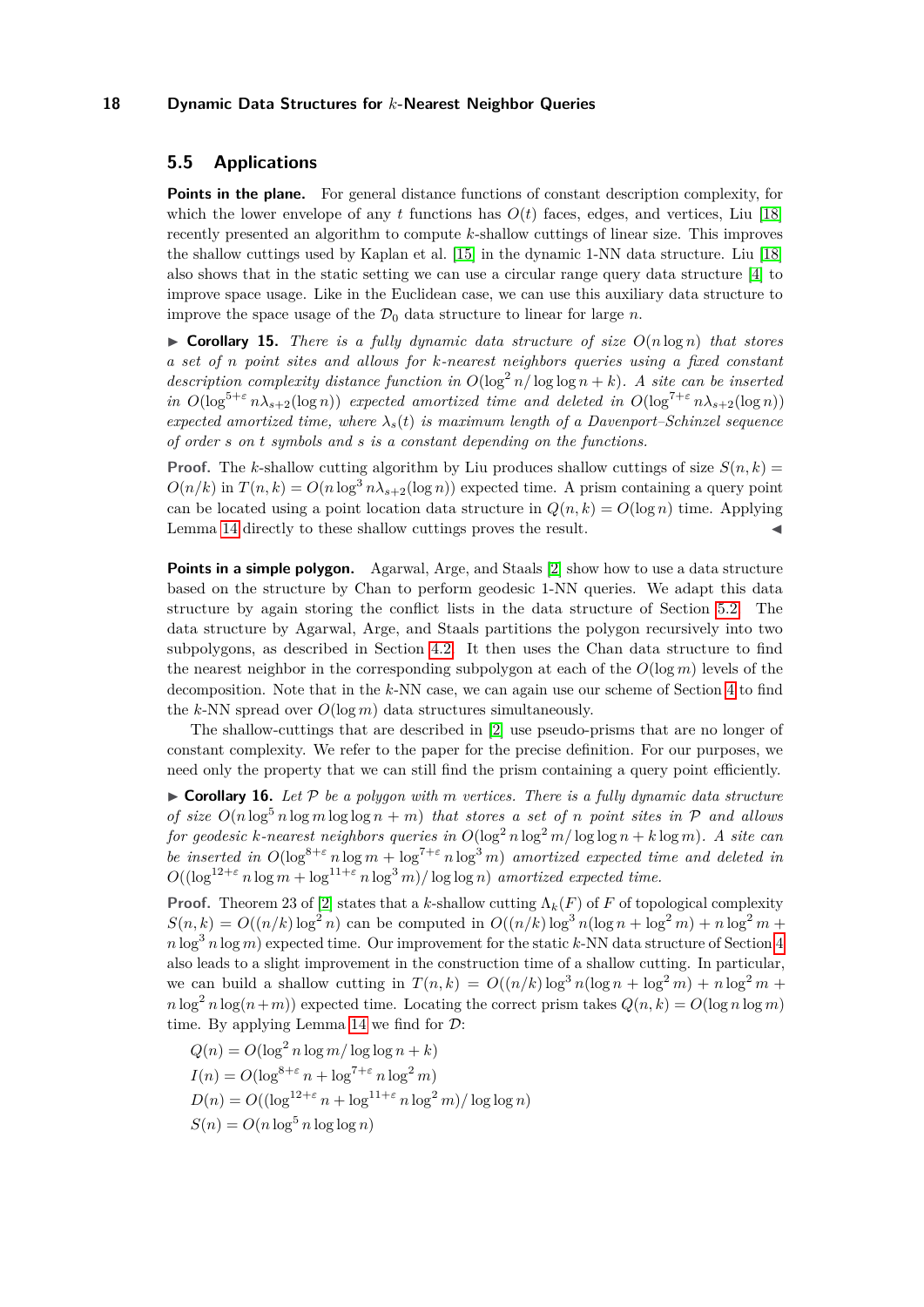# <span id="page-17-0"></span>**5.5 Applications**

**Points in the plane.** For general distance functions of constant description complexity, for which the lower envelope of any  $t$  functions has  $O(t)$  faces, edges, and vertices, Liu [\[18\]](#page-19-1) recently presented an algorithm to compute *k*-shallow cuttings of linear size. This improves the shallow cuttings used by Kaplan et al. [\[15\]](#page-19-4) in the dynamic 1-NN data structure. Liu [\[18\]](#page-19-1) also shows that in the static setting we can use a circular range query data structure [\[4\]](#page-18-13) to improve space usage. Like in the Euclidean case, we can use this auxiliary data structure to improve the space usage of the  $\mathcal{D}_0$  data structure to linear for large *n*.

 $\triangleright$  **Corollary 15.** *There is a fully dynamic data structure of size*  $O(n \log n)$  *that stores a set of n point sites and allows for k-nearest neighbors queries using a fixed constant description complexity distance function in*  $O(\log^2 n / \log \log n + k)$ *. A site can be inserted in*  $O(\log^{5+\epsilon} n\lambda_{s+2}(\log n))$  *expected amortized time and deleted in*  $O(\log^{7+\epsilon} n\lambda_{s+2}(\log n))$ *expected amortized time, where*  $\lambda_s(t)$  *is maximum length of a Davenport–Schinzel sequence of order s on t symbols and s is a constant depending on the functions.*

**Proof.** The *k*-shallow cutting algorithm by Liu produces shallow cuttings of size  $S(n, k)$  $O(n/k)$  in  $T(n, k) = O(n \log^3 n \lambda_{s+2}(\log n))$  expected time. A prism containing a query point can be located using a point location data structure in  $Q(n, k) = O(\log n)$  time. Applying Lemma [14](#page-16-0) directly to these shallow cuttings proves the result.

**Points in a simple polygon.** Agarwal, Arge, and Staals [\[2\]](#page-18-5) show how to use a data structure based on the structure by Chan to perform geodesic 1-NN queries. We adapt this data structure by again storing the conflict lists in the data structure of Section [5.2.](#page-12-0) The data structure by Agarwal, Arge, and Staals partitions the polygon recursively into two subpolygons, as described in Section [4.2.](#page-9-1) It then uses the Chan data structure to find the nearest neighbor in the corresponding subpolygon at each of the  $O(\log m)$  levels of the decomposition. Note that in the *k*-NN case, we can again use our scheme of Section [4](#page-8-0) to find the *k*-NN spread over  $O(\log m)$  data structures simultaneously.

The shallow-cuttings that are described in [\[2\]](#page-18-5) use pseudo-prisms that are no longer of constant complexity. We refer to the paper for the precise definition. For our purposes, we need only the property that we can still find the prism containing a query point efficiently.

 $\triangleright$  **Corollary 16.** Let P be a polygon with m vertices. There is a fully dynamic data structure *of size*  $O(n \log^5 n \log m \log \log n + m)$  *that stores a set of n point sites in*  $P$  *and allows for geodesic k*-nearest neighbors queries in  $O(\log^2 n \log^2 m / \log \log n + k \log m)$ . A site can *be inserted in*  $O(\log^{8+\epsilon} n \log m + \log^{7+\epsilon} n \log^3 m)$  *amortized expected time and deleted in*  $O((\log^{12+\epsilon} n \log m + \log^{11+\epsilon} n \log^3 m)/\log \log n)$  *amortized expected time.* 

**Proof.** Theorem 23 of [\[2\]](#page-18-5) states that a *k*-shallow cutting  $\Lambda_k(F)$  of *F* of topological complexity  $S(n, k) = O((n/k)\log^2 n)$  can be computed in  $O((n/k)\log^3 n(\log n + \log^2 m) + n\log^2 m +$  $n \log^3 n \log m$  expected time. Our improvement for the static *k*-NN data structure of Section [4](#page-8-0) also leads to a slight improvement in the construction time of a shallow cutting. In particular, we can build a shallow cutting in  $T(n, k) = O((n/k) \log^3 n(\log n + \log^2 m) + n \log^2 m +$  $n \log^2 n \log(n+m)$ ) expected time. Locating the correct prism takes  $Q(n, k) = O(\log n \log m)$ time. By applying Lemma [14](#page-16-0) we find for  $\mathcal{D}$ :

$$
Q(n) = O(\log^2 n \log m / \log \log n + k)
$$
  
\n
$$
I(n) = O(\log^{8+\varepsilon} n + \log^{7+\varepsilon} n \log^2 m)
$$
  
\n
$$
D(n) = O((\log^{12+\varepsilon} n + \log^{11+\varepsilon} n \log^2 m) / \log \log n)
$$
  
\n
$$
S(n) = O(n \log^5 n \log \log n)
$$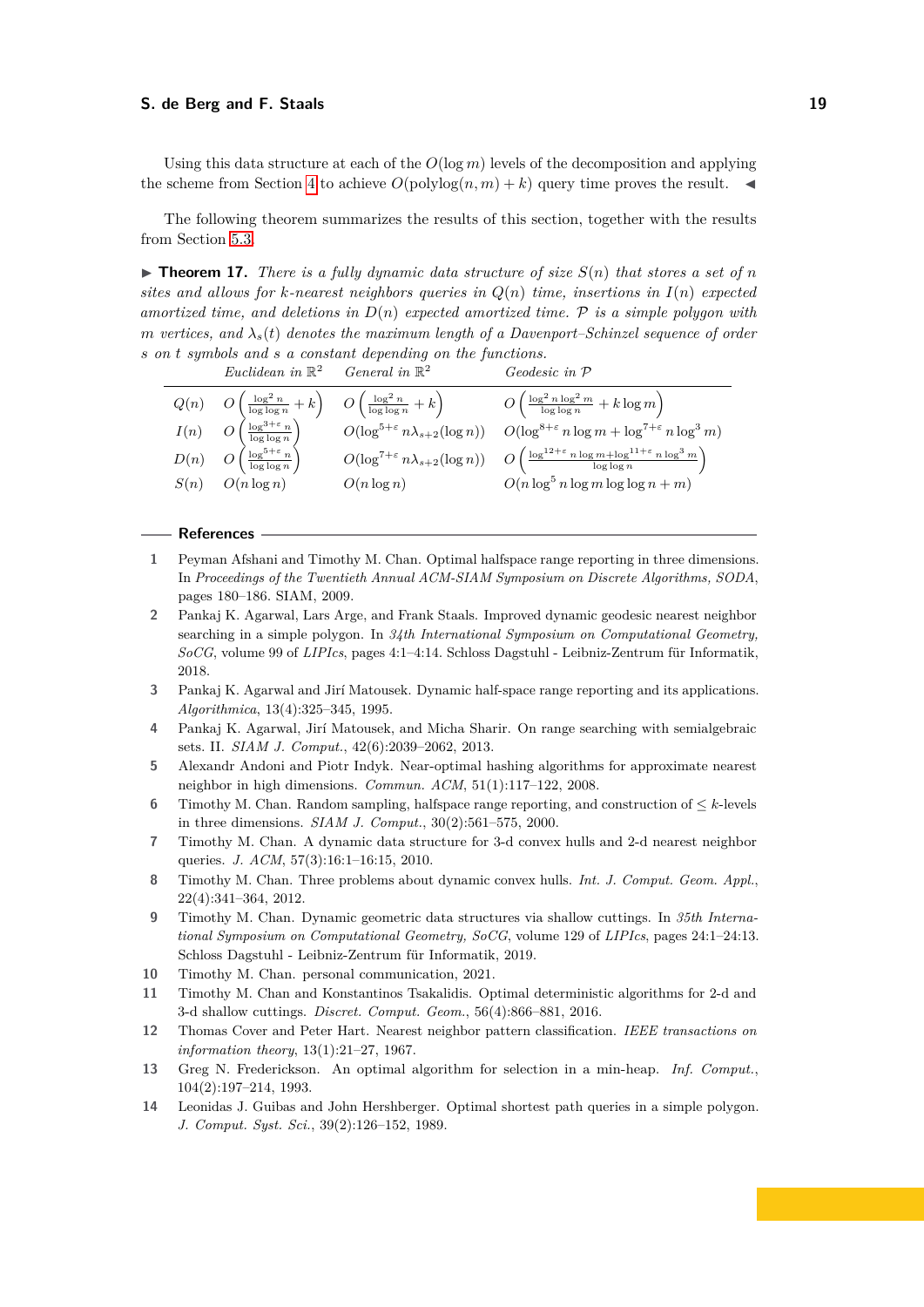Using this data structure at each of the  $O(\log m)$  levels of the decomposition and applying the scheme from Section [4](#page-8-0) to achieve  $O(\text{polylog}(n, m) + k)$  query time proves the result.

The following theorem summarizes the results of this section, together with the results from Section [5.3.](#page-13-0)

 $\triangleright$  **Theorem 17.** *There is a fully dynamic data structure of size*  $S(n)$  *that stores a set of n sites and allows for k-nearest neighbors queries in Q*(*n*) *time, insertions in I*(*n*) *expected amortized time, and deletions in D*(*n*) *expected amortized time.* P *is a simple polygon with m* vertices, and  $\lambda_s(t)$  denotes the maximum length of a Davenport–Schinzel sequence of order *s on t symbols and s a constant depending on the functions.*

|      | Euclidean in $\mathbb{R}^2$ General in $\mathbb{R}^2$                                                    |               | <i>Geodesic in</i> $\mathcal P$                                                                                                                        |
|------|----------------------------------------------------------------------------------------------------------|---------------|--------------------------------------------------------------------------------------------------------------------------------------------------------|
|      | $Q(n)$ $O\left(\frac{\log^2 n}{\log \log n} + k\right)$ $O\left(\frac{\log^2 n}{\log \log n} + k\right)$ |               | $O\left(\frac{\log^2 n \log^2 m}{\log \log n} + k \log m\right)$                                                                                       |
| I(n) | $\left(\frac{\log^{3+\varepsilon} n}{\log\log n}\right)$                                                 |               | $O(\log^{5+\varepsilon} n\lambda_{s+2}(\log n))$ $O(\log^{8+\varepsilon} n\log m + \log^{7+\varepsilon} n\log^3 m)$                                    |
|      | $D(n)$ $O\left(\frac{\log^{5+\varepsilon} n}{\log \log n}\right)$                                        |               | $O(\log^{7+\varepsilon} n\lambda_{s+2}(\log n)) - O\left(\frac{\log^{12+\varepsilon} n \log m + \log^{11+\varepsilon} n \log^3 m}{\log \log n}\right)$ |
| S(n) | $O(n \log n)$                                                                                            | $O(n \log n)$ | $O(n \log^5 n \log m \log \log n + m)$                                                                                                                 |

#### **References**

- <span id="page-18-4"></span>**1** Peyman Afshani and Timothy M. Chan. Optimal halfspace range reporting in three dimensions. In *Proceedings of the Twentieth Annual ACM-SIAM Symposium on Discrete Algorithms, SODA*, pages 180–186. SIAM, 2009.
- <span id="page-18-5"></span>**2** Pankaj K. Agarwal, Lars Arge, and Frank Staals. Improved dynamic geodesic nearest neighbor searching in a simple polygon. In *34th International Symposium on Computational Geometry, SoCG*, volume 99 of *LIPIcs*, pages 4:1–4:14. Schloss Dagstuhl - Leibniz-Zentrum für Informatik, 2018.
- <span id="page-18-12"></span>**3** Pankaj K. Agarwal and Jirí Matousek. Dynamic half-space range reporting and its applications. *Algorithmica*, 13(4):325–345, 1995.
- <span id="page-18-13"></span>**4** Pankaj K. Agarwal, Jirí Matousek, and Micha Sharir. On range searching with semialgebraic sets. II. *SIAM J. Comput.*, 42(6):2039–2062, 2013.
- <span id="page-18-0"></span>**5** Alexandr Andoni and Piotr Indyk. Near-optimal hashing algorithms for approximate nearest neighbor in high dimensions. *Commun. ACM*, 51(1):117–122, 2008.
- <span id="page-18-1"></span>**6** Timothy M. Chan. Random sampling, halfspace range reporting, and construction of  $\leq k$ -levels in three dimensions. *SIAM J. Comput.*, 30(2):561–575, 2000.
- <span id="page-18-6"></span>**7** Timothy M. Chan. A dynamic data structure for 3-d convex hulls and 2-d nearest neighbor queries. *J. ACM*, 57(3):16:1–16:15, 2010.
- <span id="page-18-8"></span>**8** Timothy M. Chan. Three problems about dynamic convex hulls. *Int. J. Comput. Geom. Appl.*, 22(4):341–364, 2012.
- <span id="page-18-7"></span>**9** Timothy M. Chan. Dynamic geometric data structures via shallow cuttings. In *35th International Symposium on Computational Geometry, SoCG*, volume 129 of *LIPIcs*, pages 24:1–24:13. Schloss Dagstuhl - Leibniz-Zentrum für Informatik, 2019.
- <span id="page-18-9"></span>**10** Timothy M. Chan. personal communication, 2021.
- <span id="page-18-2"></span>**11** Timothy M. Chan and Konstantinos Tsakalidis. Optimal deterministic algorithms for 2-d and 3-d shallow cuttings. *Discret. Comput. Geom.*, 56(4):866–881, 2016.
- <span id="page-18-3"></span>**12** Thomas Cover and Peter Hart. Nearest neighbor pattern classification. *IEEE transactions on information theory*, 13(1):21–27, 1967.
- <span id="page-18-10"></span>**13** Greg N. Frederickson. An optimal algorithm for selection in a min-heap. *Inf. Comput.*, 104(2):197–214, 1993.
- <span id="page-18-11"></span>**14** Leonidas J. Guibas and John Hershberger. Optimal shortest path queries in a simple polygon. *J. Comput. Syst. Sci.*, 39(2):126–152, 1989.